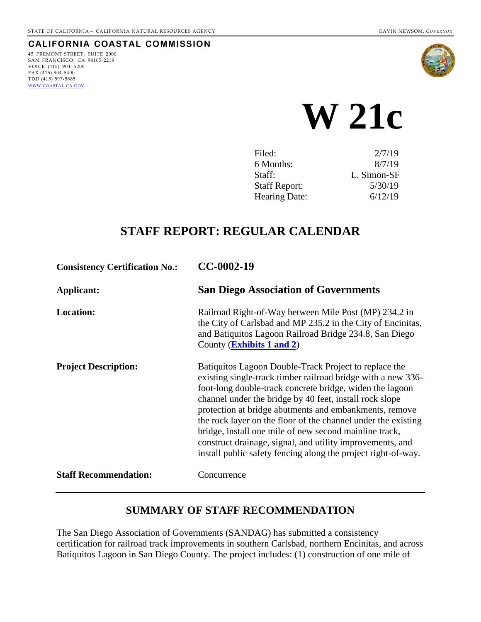#### **CALIFORNIA COASTAL COMMISSION**

45 FREMONT STREET, SUITE 2000 SAN FRANCISCO, CA 94105-2219 VOICE (415) 904- 5200 FAX (415) 904-5400 TDD (415) 597-5885 [WWW.COASTAL.CA.GOV](http://www.coastal.ca.gov/)



 **W 21c** 

| Filed:               | 2/7/19      |
|----------------------|-------------|
| 6 Months:            | 8/7/19      |
| Staff:               | L. Simon-SF |
| <b>Staff Report:</b> | 5/30/19     |
| Hearing Date:        | 6/12/19     |

# **STAFF REPORT: REGULAR CALENDAR**

| <b>Consistency Certification No.:</b> | CC-0002-19                                                                                                                                                                                                                                                                                                                                                                                                                                                                                                                                                      |  |
|---------------------------------------|-----------------------------------------------------------------------------------------------------------------------------------------------------------------------------------------------------------------------------------------------------------------------------------------------------------------------------------------------------------------------------------------------------------------------------------------------------------------------------------------------------------------------------------------------------------------|--|
| Applicant:                            | <b>San Diego Association of Governments</b>                                                                                                                                                                                                                                                                                                                                                                                                                                                                                                                     |  |
| <b>Location:</b>                      | Railroad Right-of-Way between Mile Post (MP) 234.2 in<br>the City of Carlsbad and MP 235.2 in the City of Encinitas,<br>and Batiquitos Lagoon Railroad Bridge 234.8, San Diego<br>County ( <b>Exhibits 1 and 2</b> )                                                                                                                                                                                                                                                                                                                                            |  |
| <b>Project Description:</b>           | Batiquitos Lagoon Double-Track Project to replace the<br>existing single-track timber railroad bridge with a new 336-<br>foot-long double-track concrete bridge, widen the lagoon<br>channel under the bridge by 40 feet, install rock slope<br>protection at bridge abutments and embankments, remove<br>the rock layer on the floor of the channel under the existing<br>bridge, install one mile of new second mainline track,<br>construct drainage, signal, and utility improvements, and<br>install public safety fencing along the project right-of-way. |  |
| <b>Staff Recommendation:</b>          | Concurrence                                                                                                                                                                                                                                                                                                                                                                                                                                                                                                                                                     |  |

# **SUMMARY OF STAFF RECOMMENDATION**

The San Diego Association of Governments (SANDAG) has submitted a consistency certification for railroad track improvements in southern Carlsbad, northern Encinitas, and across Batiquitos Lagoon in San Diego County. The project includes: (1) construction of one mile of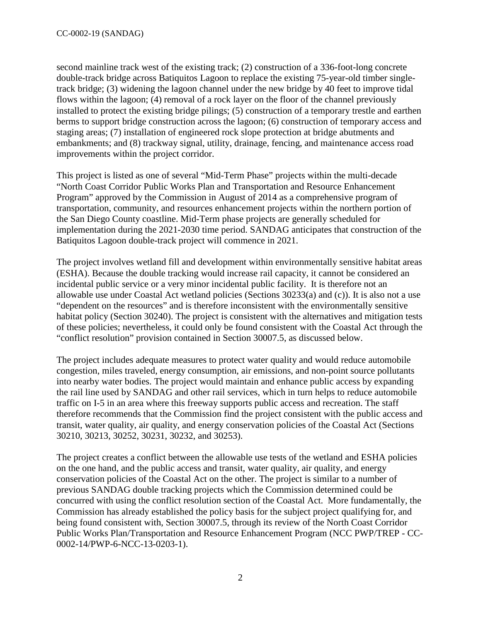second mainline track west of the existing track; (2) construction of a 336-foot-long concrete double-track bridge across Batiquitos Lagoon to replace the existing 75-year-old timber singletrack bridge; (3) widening the lagoon channel under the new bridge by 40 feet to improve tidal flows within the lagoon; (4) removal of a rock layer on the floor of the channel previously installed to protect the existing bridge pilings; (5) construction of a temporary trestle and earthen berms to support bridge construction across the lagoon; (6) construction of temporary access and staging areas; (7) installation of engineered rock slope protection at bridge abutments and embankments; and (8) trackway signal, utility, drainage, fencing, and maintenance access road improvements within the project corridor.

This project is listed as one of several "Mid-Term Phase" projects within the multi-decade "North Coast Corridor Public Works Plan and Transportation and Resource Enhancement Program" approved by the Commission in August of 2014 as a comprehensive program of transportation, community, and resources enhancement projects within the northern portion of the San Diego County coastline. Mid-Term phase projects are generally scheduled for implementation during the 2021-2030 time period. SANDAG anticipates that construction of the Batiquitos Lagoon double-track project will commence in 2021.

The project involves wetland fill and development within environmentally sensitive habitat areas (ESHA). Because the double tracking would increase rail capacity, it cannot be considered an incidental public service or a very minor incidental public facility. It is therefore not an allowable use under Coastal Act wetland policies (Sections 30233(a) and (c)). It is also not a use "dependent on the resources" and is therefore inconsistent with the environmentally sensitive habitat policy (Section 30240). The project is consistent with the alternatives and mitigation tests of these policies; nevertheless, it could only be found consistent with the Coastal Act through the "conflict resolution" provision contained in Section 30007.5, as discussed below.

The project includes adequate measures to protect water quality and would reduce automobile congestion, miles traveled, energy consumption, air emissions, and non-point source pollutants into nearby water bodies. The project would maintain and enhance public access by expanding the rail line used by SANDAG and other rail services, which in turn helps to reduce automobile traffic on I-5 in an area where this freeway supports public access and recreation. The staff therefore recommends that the Commission find the project consistent with the public access and transit, water quality, air quality, and energy conservation policies of the Coastal Act (Sections 30210, 30213, 30252, 30231, 30232, and 30253).

The project creates a conflict between the allowable use tests of the wetland and ESHA policies on the one hand, and the public access and transit, water quality, air quality, and energy conservation policies of the Coastal Act on the other. The project is similar to a number of previous SANDAG double tracking projects which the Commission determined could be concurred with using the conflict resolution section of the Coastal Act. More fundamentally, the Commission has already established the policy basis for the subject project qualifying for, and being found consistent with, Section 30007.5, through its review of the North Coast Corridor Public Works Plan/Transportation and Resource Enhancement Program (NCC PWP/TREP - CC-0002-14/PWP-6-NCC-13-0203-1).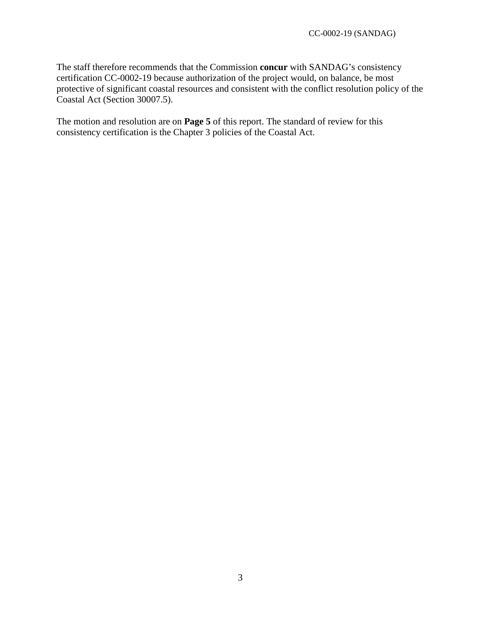The staff therefore recommends that the Commission **concur** with SANDAG's consistency certification CC-0002-19 because authorization of the project would, on balance, be most protective of significant coastal resources and consistent with the conflict resolution policy of the Coastal Act (Section 30007.5).

The motion and resolution are on **Page 5** of this report. The standard of review for this consistency certification is the Chapter 3 policies of the Coastal Act.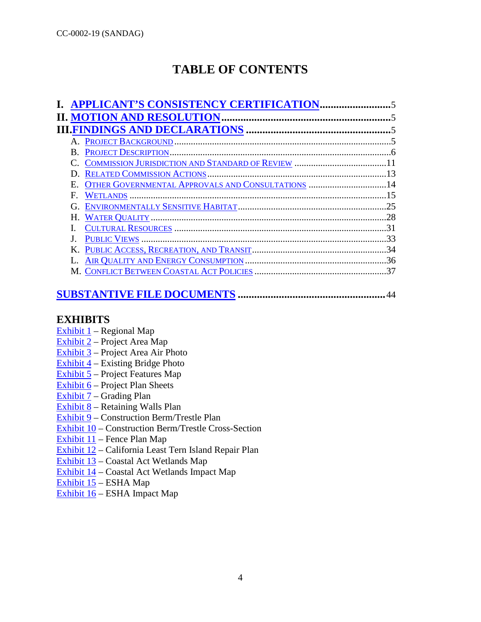# **TABLE OF CONTENTS**

|    | <b>II. MOTION AND RESOLUTION.</b>                 |     |
|----|---------------------------------------------------|-----|
|    |                                                   |     |
|    |                                                   |     |
|    |                                                   |     |
|    |                                                   |     |
|    |                                                   |     |
| Е. | OTHER GOVERNMENTAL APPROVALS AND CONSULTATIONS 14 |     |
| F. |                                                   | 15  |
|    |                                                   |     |
|    |                                                   | 28  |
|    |                                                   | 31  |
|    |                                                   | 33  |
|    |                                                   | .34 |
|    |                                                   |     |
|    |                                                   | 37  |
|    |                                                   |     |

# **[SUBSTANTIVE](#page-43-0) FILE DOCUMENTS ......................................................**44

# **EXHIBITS**

- Exhibit  $1$  Regional Map
- [Exhibit 2](https://documents.coastal.ca.gov/reports/2019/6/W21c/W21c-6-2019-exhibits.pdf)  Project Area Map
- [Exhibit 3](https://documents.coastal.ca.gov/reports/2019/6/W21c/W21c-6-2019-exhibits.pdf)  Project Area Air Photo
- [Exhibit 4](https://documents.coastal.ca.gov/reports/2019/6/W21c/W21c-6-2019-exhibits.pdf)  Existing Bridge Photo
- [Exhibit 5](https://documents.coastal.ca.gov/reports/2019/6/W21c/W21c-6-2019-exhibits.pdf)  Project Features Map
- [Exhibit 6](https://documents.coastal.ca.gov/reports/2019/6/W21c/W21c-6-2019-exhibits.pdf)  Project Plan Sheets
- [Exhibit 7](https://documents.coastal.ca.gov/reports/2019/6/W21c/W21c-6-2019-exhibits.pdf)  Grading Plan
- [Exhibit 8](https://documents.coastal.ca.gov/reports/2019/6/W21c/W21c-6-2019-exhibits.pdf)  Retaining Walls Plan
- [Exhibit 9](https://documents.coastal.ca.gov/reports/2019/6/W21c/W21c-6-2019-exhibits.pdf)  Construction Berm/Trestle Plan
- [Exhibit 10](https://documents.coastal.ca.gov/reports/2019/6/W21c/W21c-6-2019-exhibits.pdf)  Construction Berm/Trestle Cross-Section
- [Exhibit 11](https://documents.coastal.ca.gov/reports/2019/6/W21c/W21c-6-2019-exhibits.pdf)  Fence Plan Map
- [Exhibit 12](https://documents.coastal.ca.gov/reports/2019/6/W21c/W21c-6-2019-exhibits.pdf)  California Least Tern Island Repair Plan
- [Exhibit 13](https://documents.coastal.ca.gov/reports/2019/6/W21c/W21c-6-2019-exhibits.pdf)  Coastal Act Wetlands Map
- [Exhibit 14](https://documents.coastal.ca.gov/reports/2019/6/W21c/W21c-6-2019-exhibits.pdf)  Coastal Act Wetlands Impact Map
- [Exhibit 15](https://documents.coastal.ca.gov/reports/2019/6/W21c/W21c-6-2019-exhibits.pdf)  ESHA Map
- $\overline{\text{Exhibit } 16}$  ESHA Impact Map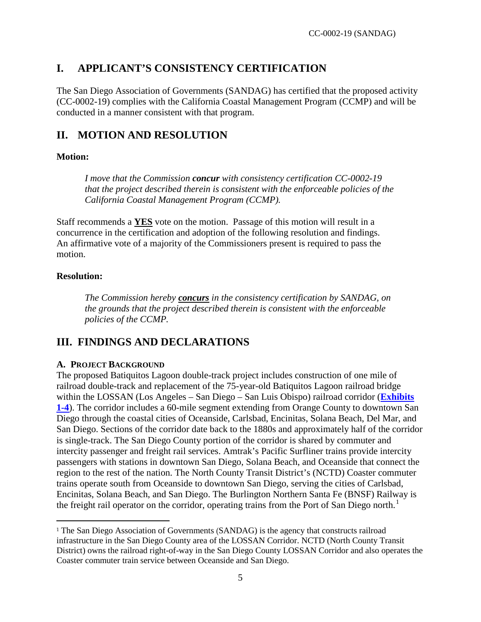# <span id="page-4-0"></span>**I. APPLICANT'S CONSISTENCY CERTIFICATION**

The San Diego Association of Governments (SANDAG) has certified that the proposed activity (CC-0002-19) complies with the California Coastal Management Program (CCMP) and will be conducted in a manner consistent with that program.

# <span id="page-4-1"></span>**II. MOTION AND RESOLUTION**

# **Motion:**

*I move that the Commission concur with consistency certification CC-0002-19 that the project described therein is consistent with the enforceable policies of the California Coastal Management Program (CCMP).* 

Staff recommends a **YES** vote on the motion. Passage of this motion will result in a concurrence in the certification and adoption of the following resolution and findings. An affirmative vote of a majority of the Commissioners present is required to pass the motion.

# **Resolution:**

 $\ddot{\phantom{a}}$ 

*The Commission hereby concurs in the consistency certification by SANDAG, on the grounds that the project described therein is consistent with the enforceable policies of the CCMP.* 

# <span id="page-4-2"></span>**III. FINDINGS AND DECLARATIONS**

# <span id="page-4-3"></span>**A. PROJECT BACKGROUND**

The proposed Batiquitos Lagoon double-track project includes construction of one mile of railroad double-track and replacement of the 75-year-old Batiquitos Lagoon railroad bridge within the LOSSAN (Los Angeles – San Diego – San Luis Obispo) railroad corridor (**[Exhibits](https://documents.coastal.ca.gov/reports/2019/6/W21c/W21c-6-2019-exhibits.pdf)  [1-4](https://documents.coastal.ca.gov/reports/2019/6/W21c/W21c-6-2019-exhibits.pdf)**). The corridor includes a 60-mile segment extending from Orange County to downtown San Diego through the coastal cities of Oceanside, Carlsbad, Encinitas, Solana Beach, Del Mar, and San Diego. Sections of the corridor date back to the 1880s and approximately half of the corridor is single-track. The San Diego County portion of the corridor is shared by commuter and intercity passenger and freight rail services. Amtrak's Pacific Surfliner trains provide intercity passengers with stations in downtown San Diego, Solana Beach, and Oceanside that connect the region to the rest of the nation. The North County Transit District's (NCTD) Coaster commuter trains operate south from Oceanside to downtown San Diego, serving the cities of Carlsbad, Encinitas, Solana Beach, and San Diego. The Burlington Northern Santa Fe (BNSF) Railway is the freight rail operator on the corridor, operating trains from the Port of San Diego north.<sup>[1](#page-4-4)</sup>

<span id="page-4-4"></span><sup>&</sup>lt;sup>1</sup> The San Diego Association of Governments (SANDAG) is the agency that constructs railroad infrastructure in the San Diego County area of the LOSSAN Corridor. NCTD (North County Transit District) owns the railroad right-of-way in the San Diego County LOSSAN Corridor and also operates the Coaster commuter train service between Oceanside and San Diego.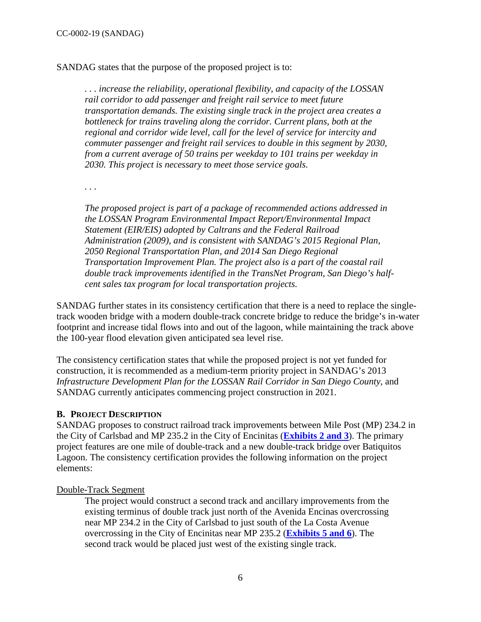SANDAG states that the purpose of the proposed project is to:

*. . . increase the reliability, operational flexibility, and capacity of the LOSSAN rail corridor to add passenger and freight rail service to meet future transportation demands. The existing single track in the project area creates a bottleneck for trains traveling along the corridor. Current plans, both at the regional and corridor wide level, call for the level of service for intercity and commuter passenger and freight rail services to double in this segment by 2030, from a current average of 50 trains per weekday to 101 trains per weekday in 2030. This project is necessary to meet those service goals.* 

*. . .* 

*The proposed project is part of a package of recommended actions addressed in the LOSSAN Program Environmental Impact Report/Environmental Impact Statement (EIR/EIS) adopted by Caltrans and the Federal Railroad Administration (2009), and is consistent with SANDAG's 2015 Regional Plan, 2050 Regional Transportation Plan, and 2014 San Diego Regional Transportation Improvement Plan. The project also is a part of the coastal rail double track improvements identified in the TransNet Program, San Diego's halfcent sales tax program for local transportation projects.* 

SANDAG further states in its consistency certification that there is a need to replace the singletrack wooden bridge with a modern double-track concrete bridge to reduce the bridge's in-water footprint and increase tidal flows into and out of the lagoon, while maintaining the track above the 100-year flood elevation given anticipated sea level rise.

The consistency certification states that while the proposed project is not yet funded for construction, it is recommended as a medium-term priority project in SANDAG's 2013 *Infrastructure Development Plan for the LOSSAN Rail Corridor in San Diego County*, and SANDAG currently anticipates commencing project construction in 2021.

#### <span id="page-5-0"></span>**B. PROJECT DESCRIPTION**

SANDAG proposes to construct railroad track improvements between Mile Post (MP) 234.2 in the City of Carlsbad and MP 235.2 in the City of Encinitas (**[Exhibits 2 and 3](https://documents.coastal.ca.gov/reports/2019/6/W21c/W21c-6-2019-exhibits.pdf)**). The primary project features are one mile of double-track and a new double-track bridge over Batiquitos Lagoon. The consistency certification provides the following information on the project elements:

#### Double-Track Segment

The project would construct a second track and ancillary improvements from the existing terminus of double track just north of the Avenida Encinas overcrossing near MP 234.2 in the City of Carlsbad to just south of the La Costa Avenue overcrossing in the City of Encinitas near MP 235.2 (**[Exhibits 5 and 6](https://documents.coastal.ca.gov/reports/2019/6/W21c/W21c-6-2019-exhibits.pdf)**). The second track would be placed just west of the existing single track.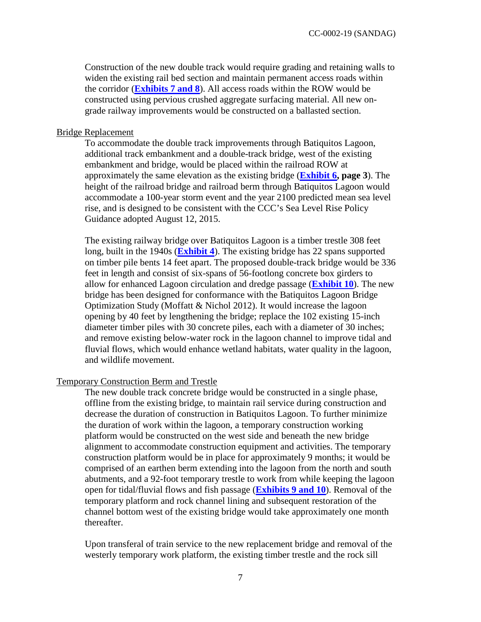Construction of the new double track would require grading and retaining walls to widen the existing rail bed section and maintain permanent access roads within the corridor (**[Exhibits 7 and 8](https://documents.coastal.ca.gov/reports/2019/6/W21c/W21c-6-2019-exhibits.pdf)**). All access roads within the ROW would be constructed using pervious crushed aggregate surfacing material. All new ongrade railway improvements would be constructed on a ballasted section.

#### Bridge Replacement

To accommodate the double track improvements through Batiquitos Lagoon, additional track embankment and a double-track bridge, west of the existing embankment and bridge, would be placed within the railroad ROW at approximately the same elevation as the existing bridge (**[Exhibit 6,](https://documents.coastal.ca.gov/reports/2019/6/W21c/W21c-6-2019-exhibits.pdf) page 3**). The height of the railroad bridge and railroad berm through Batiquitos Lagoon would accommodate a 100-year storm event and the year 2100 predicted mean sea level rise, and is designed to be consistent with the CCC's Sea Level Rise Policy Guidance adopted August 12, 2015.

The existing railway bridge over Batiquitos Lagoon is a timber trestle 308 feet long, built in the 1940s (**[Exhibit 4](https://documents.coastal.ca.gov/reports/2019/6/W21c/W21c-6-2019-exhibits.pdf)**). The existing bridge has 22 spans supported on timber pile bents 14 feet apart. The proposed double-track bridge would be 336 feet in length and consist of six-spans of 56-footlong concrete box girders to allow for enhanced Lagoon circulation and dredge passage (**[Exhibit 10](https://documents.coastal.ca.gov/reports/2019/6/W21c/W21c-6-2019-exhibits.pdf)**). The new bridge has been designed for conformance with the Batiquitos Lagoon Bridge Optimization Study (Moffatt & Nichol 2012). It would increase the lagoon opening by 40 feet by lengthening the bridge; replace the 102 existing 15-inch diameter timber piles with 30 concrete piles, each with a diameter of 30 inches; and remove existing below-water rock in the lagoon channel to improve tidal and fluvial flows, which would enhance wetland habitats, water quality in the lagoon, and wildlife movement.

#### Temporary Construction Berm and Trestle

The new double track concrete bridge would be constructed in a single phase, offline from the existing bridge, to maintain rail service during construction and decrease the duration of construction in Batiquitos Lagoon. To further minimize the duration of work within the lagoon, a temporary construction working platform would be constructed on the west side and beneath the new bridge alignment to accommodate construction equipment and activities. The temporary construction platform would be in place for approximately 9 months; it would be comprised of an earthen berm extending into the lagoon from the north and south abutments, and a 92-foot temporary trestle to work from while keeping the lagoon open for tidal/fluvial flows and fish passage (**[Exhibits 9 and 10](https://documents.coastal.ca.gov/reports/2019/6/W21c/W21c-6-2019-exhibits.pdf)**). Removal of the temporary platform and rock channel lining and subsequent restoration of the channel bottom west of the existing bridge would take approximately one month thereafter.

Upon transferal of train service to the new replacement bridge and removal of the westerly temporary work platform, the existing timber trestle and the rock sill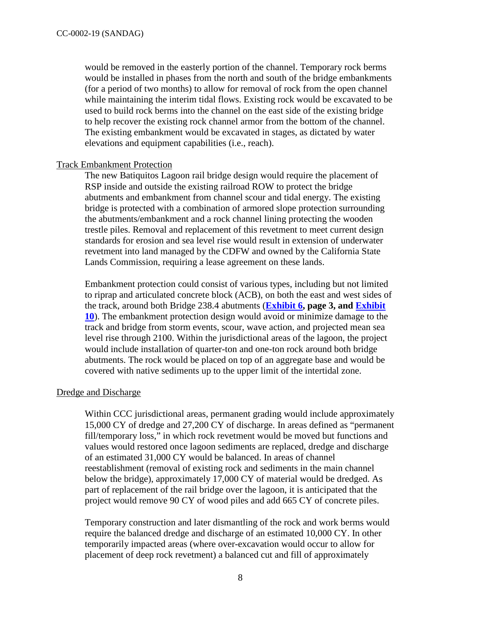would be removed in the easterly portion of the channel. Temporary rock berms would be installed in phases from the north and south of the bridge embankments (for a period of two months) to allow for removal of rock from the open channel while maintaining the interim tidal flows. Existing rock would be excavated to be used to build rock berms into the channel on the east side of the existing bridge to help recover the existing rock channel armor from the bottom of the channel. The existing embankment would be excavated in stages, as dictated by water elevations and equipment capabilities (i.e., reach).

#### Track Embankment Protection

The new Batiquitos Lagoon rail bridge design would require the placement of RSP inside and outside the existing railroad ROW to protect the bridge abutments and embankment from channel scour and tidal energy. The existing bridge is protected with a combination of armored slope protection surrounding the abutments/embankment and a rock channel lining protecting the wooden trestle piles. Removal and replacement of this revetment to meet current design standards for erosion and sea level rise would result in extension of underwater revetment into land managed by the CDFW and owned by the California State Lands Commission, requiring a lease agreement on these lands.

Embankment protection could consist of various types, including but not limited to riprap and articulated concrete block (ACB), on both the east and west sides of the track, around both Bridge 238.4 abutments (**[Exhibit 6,](https://documents.coastal.ca.gov/reports/2019/6/W21c/W21c-6-2019-exhibits.pdf) page 3, and [Exhibit](https://documents.coastal.ca.gov/reports/2019/6/W21c/W21c-6-2019-exhibits.pdf)  [10](https://documents.coastal.ca.gov/reports/2019/6/W21c/W21c-6-2019-exhibits.pdf)**). The embankment protection design would avoid or minimize damage to the track and bridge from storm events, scour, wave action, and projected mean sea level rise through 2100. Within the jurisdictional areas of the lagoon, the project would include installation of quarter-ton and one-ton rock around both bridge abutments. The rock would be placed on top of an aggregate base and would be covered with native sediments up to the upper limit of the intertidal zone.

#### Dredge and Discharge

Within CCC jurisdictional areas, permanent grading would include approximately 15,000 CY of dredge and 27,200 CY of discharge. In areas defined as "permanent fill/temporary loss," in which rock revetment would be moved but functions and values would restored once lagoon sediments are replaced, dredge and discharge of an estimated 31,000 CY would be balanced. In areas of channel reestablishment (removal of existing rock and sediments in the main channel below the bridge), approximately 17,000 CY of material would be dredged. As part of replacement of the rail bridge over the lagoon, it is anticipated that the project would remove 90 CY of wood piles and add 665 CY of concrete piles.

Temporary construction and later dismantling of the rock and work berms would require the balanced dredge and discharge of an estimated 10,000 CY. In other temporarily impacted areas (where over-excavation would occur to allow for placement of deep rock revetment) a balanced cut and fill of approximately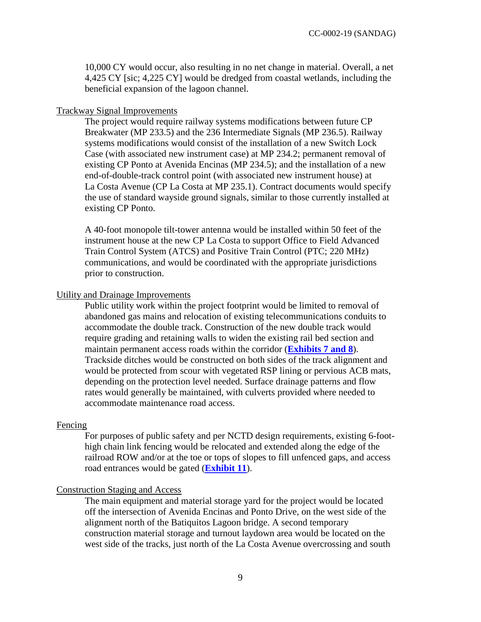10,000 CY would occur, also resulting in no net change in material. Overall, a net 4,425 CY [sic; 4,225 CY] would be dredged from coastal wetlands, including the beneficial expansion of the lagoon channel.

#### Trackway Signal Improvements

The project would require railway systems modifications between future CP Breakwater (MP 233.5) and the 236 Intermediate Signals (MP 236.5). Railway systems modifications would consist of the installation of a new Switch Lock Case (with associated new instrument case) at MP 234.2; permanent removal of existing CP Ponto at Avenida Encinas (MP 234.5); and the installation of a new end-of-double-track control point (with associated new instrument house) at La Costa Avenue (CP La Costa at MP 235.1). Contract documents would specify the use of standard wayside ground signals, similar to those currently installed at existing CP Ponto.

A 40-foot monopole tilt-tower antenna would be installed within 50 feet of the instrument house at the new CP La Costa to support Office to Field Advanced Train Control System (ATCS) and Positive Train Control (PTC; 220 MHz) communications, and would be coordinated with the appropriate jurisdictions prior to construction.

#### Utility and Drainage Improvements

Public utility work within the project footprint would be limited to removal of abandoned gas mains and relocation of existing telecommunications conduits to accommodate the double track. Construction of the new double track would require grading and retaining walls to widen the existing rail bed section and maintain permanent access roads within the corridor (**[Exhibits 7 and 8](https://documents.coastal.ca.gov/reports/2019/6/W21c/W21c-6-2019-exhibits.pdf)**). Trackside ditches would be constructed on both sides of the track alignment and would be protected from scour with vegetated RSP lining or pervious ACB mats, depending on the protection level needed. Surface drainage patterns and flow rates would generally be maintained, with culverts provided where needed to accommodate maintenance road access.

#### Fencing

For purposes of public safety and per NCTD design requirements, existing 6-foothigh chain link fencing would be relocated and extended along the edge of the railroad ROW and/or at the toe or tops of slopes to fill unfenced gaps, and access road entrances would be gated (**[Exhibit 11](https://documents.coastal.ca.gov/reports/2019/6/W21c/W21c-6-2019-exhibits.pdf)**).

#### Construction Staging and Access

The main equipment and material storage yard for the project would be located off the intersection of Avenida Encinas and Ponto Drive, on the west side of the alignment north of the Batiquitos Lagoon bridge. A second temporary construction material storage and turnout laydown area would be located on the west side of the tracks, just north of the La Costa Avenue overcrossing and south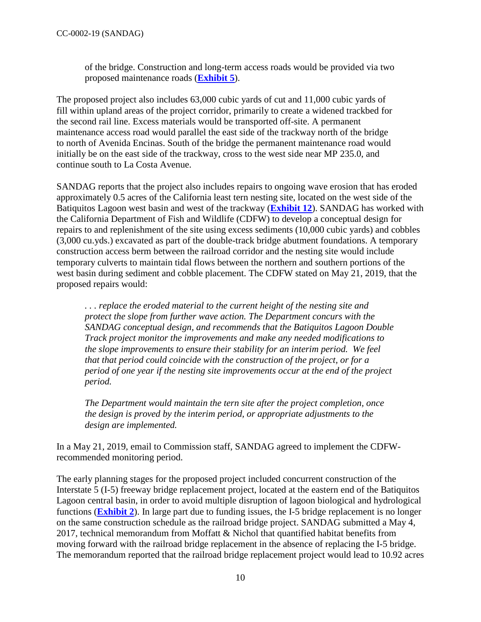of the bridge. Construction and long-term access roads would be provided via two proposed maintenance roads (**[Exhibit 5](https://documents.coastal.ca.gov/reports/2019/6/W21c/W21c-6-2019-exhibits.pdf)**).

The proposed project also includes 63,000 cubic yards of cut and 11,000 cubic yards of fill within upland areas of the project corridor, primarily to create a widened trackbed for the second rail line. Excess materials would be transported off-site. A permanent maintenance access road would parallel the east side of the trackway north of the bridge to north of Avenida Encinas. South of the bridge the permanent maintenance road would initially be on the east side of the trackway, cross to the west side near MP 235.0, and continue south to La Costa Avenue.

SANDAG reports that the project also includes repairs to ongoing wave erosion that has eroded approximately 0.5 acres of the California least tern nesting site, located on the west side of the Batiquitos Lagoon west basin and west of the trackway (**[Exhibit 12](https://documents.coastal.ca.gov/reports/2019/6/W21c/W21c-6-2019-exhibits.pdf)**). SANDAG has worked with the California Department of Fish and Wildlife (CDFW) to develop a conceptual design for repairs to and replenishment of the site using excess sediments (10,000 cubic yards) and cobbles (3,000 cu.yds.) excavated as part of the double-track bridge abutment foundations. A temporary construction access berm between the railroad corridor and the nesting site would include temporary culverts to maintain tidal flows between the northern and southern portions of the west basin during sediment and cobble placement. The CDFW stated on May 21, 2019, that the proposed repairs would:

*. . . replace the eroded material to the current height of the nesting site and protect the slope from further wave action. The Department concurs with the SANDAG conceptual design, and recommends that the Batiquitos Lagoon Double Track project monitor the improvements and make any needed modifications to the slope improvements to ensure their stability for an interim period. We feel that that period could coincide with the construction of the project, or for a period of one year if the nesting site improvements occur at the end of the project period.* 

*The Department would maintain the tern site after the project completion, once the design is proved by the interim period, or appropriate adjustments to the design are implemented.* 

In a May 21, 2019, email to Commission staff, SANDAG agreed to implement the CDFWrecommended monitoring period.

The early planning stages for the proposed project included concurrent construction of the Interstate 5 (I-5) freeway bridge replacement project, located at the eastern end of the Batiquitos Lagoon central basin, in order to avoid multiple disruption of lagoon biological and hydrological functions (**[Exhibit 2](https://documents.coastal.ca.gov/reports/2019/6/W21c/W21c-6-2019-exhibits.pdf)**). In large part due to funding issues, the I-5 bridge replacement is no longer on the same construction schedule as the railroad bridge project. SANDAG submitted a May 4, 2017, technical memorandum from Moffatt & Nichol that quantified habitat benefits from moving forward with the railroad bridge replacement in the absence of replacing the I-5 bridge. The memorandum reported that the railroad bridge replacement project would lead to 10.92 acres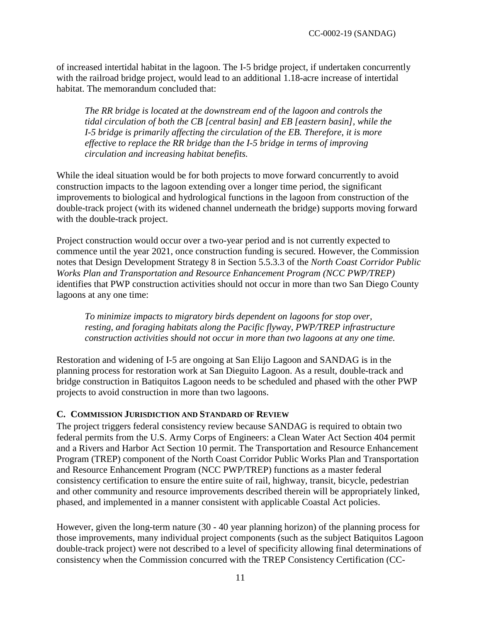of increased intertidal habitat in the lagoon. The I-5 bridge project, if undertaken concurrently with the railroad bridge project, would lead to an additional 1.18-acre increase of intertidal habitat. The memorandum concluded that:

*The RR bridge is located at the downstream end of the lagoon and controls the tidal circulation of both the CB [central basin] and EB [eastern basin], while the I-5 bridge is primarily affecting the circulation of the EB. Therefore, it is more effective to replace the RR bridge than the I-5 bridge in terms of improving circulation and increasing habitat benefits.* 

While the ideal situation would be for both projects to move forward concurrently to avoid construction impacts to the lagoon extending over a longer time period, the significant improvements to biological and hydrological functions in the lagoon from construction of the double-track project (with its widened channel underneath the bridge) supports moving forward with the double-track project.

Project construction would occur over a two-year period and is not currently expected to commence until the year 2021, once construction funding is secured. However, the Commission notes that Design Development Strategy 8 in Section 5.5.3.3 of the *North Coast Corridor Public Works Plan and Transportation and Resource Enhancement Program (NCC PWP/TREP)* identifies that PWP construction activities should not occur in more than two San Diego County lagoons at any one time:

*To minimize impacts to migratory birds dependent on lagoons for stop over, resting, and foraging habitats along the Pacific flyway, PWP/TREP infrastructure construction activities should not occur in more than two lagoons at any one time.* 

Restoration and widening of I-5 are ongoing at San Elijo Lagoon and SANDAG is in the planning process for restoration work at San Dieguito Lagoon. As a result, double-track and bridge construction in Batiquitos Lagoon needs to be scheduled and phased with the other PWP projects to avoid construction in more than two lagoons.

#### <span id="page-10-0"></span>**C. COMMISSION JURISDICTION AND STANDARD OF REVIEW**

The project triggers federal consistency review because SANDAG is required to obtain two federal permits from the U.S. Army Corps of Engineers: a Clean Water Act Section 404 permit and a Rivers and Harbor Act Section 10 permit. The Transportation and Resource Enhancement Program (TREP) component of the North Coast Corridor Public Works Plan and Transportation and Resource Enhancement Program (NCC PWP/TREP) functions as a master federal consistency certification to ensure the entire suite of rail, highway, transit, bicycle, pedestrian and other community and resource improvements described therein will be appropriately linked, phased, and implemented in a manner consistent with applicable Coastal Act policies.

However, given the long-term nature (30 - 40 year planning horizon) of the planning process for those improvements, many individual project components (such as the subject Batiquitos Lagoon double-track project) were not described to a level of specificity allowing final determinations of consistency when the Commission concurred with the TREP Consistency Certification (CC-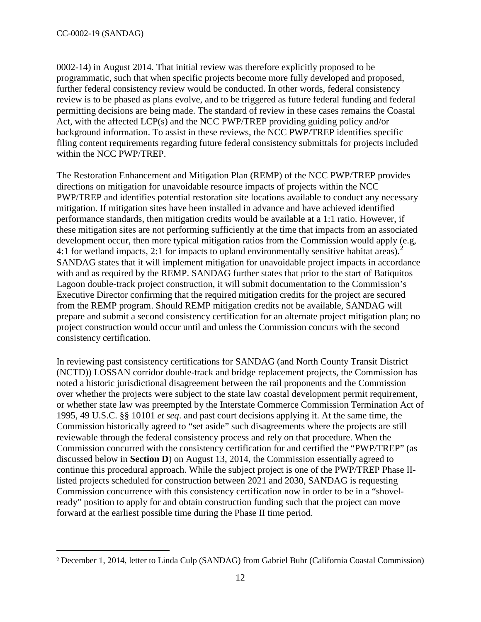$\overline{a}$ 

0002-14) in August 2014. That initial review was therefore explicitly proposed to be programmatic, such that when specific projects become more fully developed and proposed, further federal consistency review would be conducted. In other words, federal consistency review is to be phased as plans evolve, and to be triggered as future federal funding and federal permitting decisions are being made. The standard of review in these cases remains the Coastal Act, with the affected LCP(s) and the NCC PWP/TREP providing guiding policy and/or background information. To assist in these reviews, the NCC PWP/TREP identifies specific filing content requirements regarding future federal consistency submittals for projects included within the NCC PWP/TREP.

The Restoration Enhancement and Mitigation Plan (REMP) of the NCC PWP/TREP provides directions on mitigation for unavoidable resource impacts of projects within the NCC PWP/TREP and identifies potential restoration site locations available to conduct any necessary mitigation. If mitigation sites have been installed in advance and have achieved identified performance standards, then mitigation credits would be available at a 1:1 ratio. However, if these mitigation sites are not performing sufficiently at the time that impacts from an associated development occur, then more typical mitigation ratios from the Commission would apply (e.g, 4:1 for wetland impacts, [2](#page-11-0):1 for impacts to upland environmentally sensitive habitat areas).<sup>2</sup> SANDAG states that it will implement mitigation for unavoidable project impacts in accordance with and as required by the REMP. SANDAG further states that prior to the start of Batiquitos Lagoon double-track project construction, it will submit documentation to the Commission's Executive Director confirming that the required mitigation credits for the project are secured from the REMP program. Should REMP mitigation credits not be available, SANDAG will prepare and submit a second consistency certification for an alternate project mitigation plan; no project construction would occur until and unless the Commission concurs with the second consistency certification.

In reviewing past consistency certifications for SANDAG (and North County Transit District (NCTD)) LOSSAN corridor double-track and bridge replacement projects, the Commission has noted a historic jurisdictional disagreement between the rail proponents and the Commission over whether the projects were subject to the state law coastal development permit requirement, or whether state law was preempted by the Interstate Commerce Commission Termination Act of 1995, 49 U.S.C. §§ 10101 *et seq*. and past court decisions applying it. At the same time, the Commission historically agreed to "set aside" such disagreements where the projects are still reviewable through the federal consistency process and rely on that procedure. When the Commission concurred with the consistency certification for and certified the "PWP/TREP" (as discussed below in **Section D**) on August 13, 2014, the Commission essentially agreed to continue this procedural approach. While the subject project is one of the PWP/TREP Phase IIlisted projects scheduled for construction between 2021 and 2030, SANDAG is requesting Commission concurrence with this consistency certification now in order to be in a "shovelready" position to apply for and obtain construction funding such that the project can move forward at the earliest possible time during the Phase II time period.

<span id="page-11-0"></span><sup>2</sup> December 1, 2014, letter to Linda Culp (SANDAG) from Gabriel Buhr (California Coastal Commission)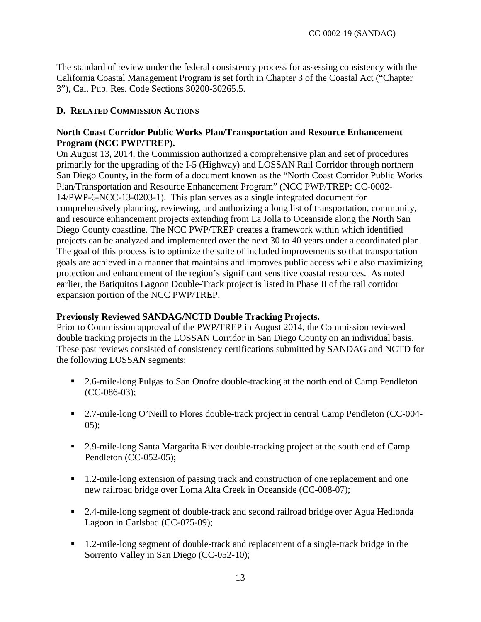The standard of review under the federal consistency process for assessing consistency with the California Coastal Management Program is set forth in Chapter 3 of the Coastal Act ("Chapter 3"), Cal. Pub. Res. Code Sections 30200-30265.5.

### <span id="page-12-0"></span>**D. RELATED COMMISSION ACTIONS**

### **North Coast Corridor Public Works Plan/Transportation and Resource Enhancement Program (NCC PWP/TREP).**

On August 13, 2014, the Commission authorized a comprehensive plan and set of procedures primarily for the upgrading of the I-5 (Highway) and LOSSAN Rail Corridor through northern San Diego County, in the form of a document known as the "North Coast Corridor Public Works Plan/Transportation and Resource Enhancement Program" (NCC PWP/TREP: CC-0002- 14/PWP-6-NCC-13-0203-1). This plan serves as a single integrated document for comprehensively planning, reviewing, and authorizing a long list of transportation, community, and resource enhancement projects extending from La Jolla to Oceanside along the North San Diego County coastline. The NCC PWP/TREP creates a framework within which identified projects can be analyzed and implemented over the next 30 to 40 years under a coordinated plan. The goal of this process is to optimize the suite of included improvements so that transportation goals are achieved in a manner that maintains and improves public access while also maximizing protection and enhancement of the region's significant sensitive coastal resources. As noted earlier, the Batiquitos Lagoon Double-Track project is listed in Phase II of the rail corridor expansion portion of the NCC PWP/TREP.

#### **Previously Reviewed SANDAG/NCTD Double Tracking Projects.**

Prior to Commission approval of the PWP/TREP in August 2014, the Commission reviewed double tracking projects in the LOSSAN Corridor in San Diego County on an individual basis. These past reviews consisted of consistency certifications submitted by SANDAG and NCTD for the following LOSSAN segments:

- 2.6-mile-long Pulgas to San Onofre double-tracking at the north end of Camp Pendleton (CC-086-03);
- 2.7-mile-long O'Neill to Flores double-track project in central Camp Pendleton (CC-004-05);
- 2.9-mile-long Santa Margarita River double-tracking project at the south end of Camp Pendleton (CC-052-05);
- 1.2-mile-long extension of passing track and construction of one replacement and one new railroad bridge over Loma Alta Creek in Oceanside (CC-008-07);
- 2.4-mile-long segment of double-track and second railroad bridge over Agua Hedionda Lagoon in Carlsbad (CC-075-09);
- 1.2-mile-long segment of double-track and replacement of a single-track bridge in the Sorrento Valley in San Diego (CC-052-10);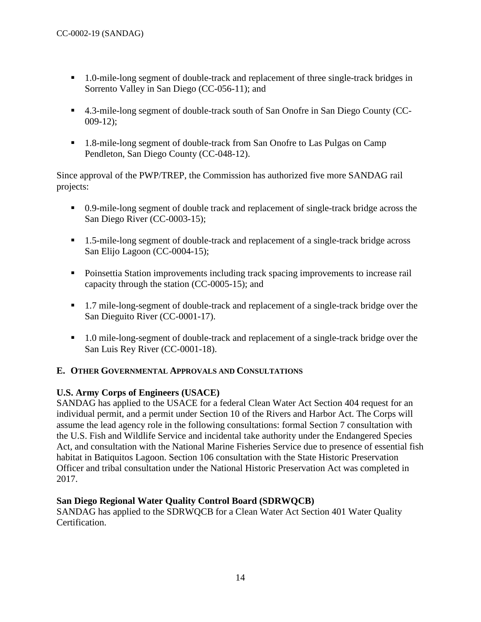- 1.0-mile-long segment of double-track and replacement of three single-track bridges in Sorrento Valley in San Diego (CC-056-11); and
- 4.3-mile-long segment of double-track south of San Onofre in San Diego County (CC-009-12);
- 1.8-mile-long segment of double-track from San Onofre to Las Pulgas on Camp Pendleton, San Diego County (CC-048-12).

Since approval of the PWP/TREP, the Commission has authorized five more SANDAG rail projects:

- 0.9-mile-long segment of double track and replacement of single-track bridge across the San Diego River (CC-0003-15);
- 1.5-mile-long segment of double-track and replacement of a single-track bridge across San Elijo Lagoon (CC-0004-15);
- **Poinsettia Station improvements including track spacing improvements to increase rail** capacity through the station (CC-0005-15); and
- 1.7 mile-long-segment of double-track and replacement of a single-track bridge over the San Dieguito River (CC-0001-17).
- 1.0 mile-long-segment of double-track and replacement of a single-track bridge over the San Luis Rey River (CC-0001-18).

# <span id="page-13-0"></span>**E. OTHER GOVERNMENTAL APPROVALS AND CONSULTATIONS**

# **U.S. Army Corps of Engineers (USACE)**

SANDAG has applied to the USACE for a federal Clean Water Act Section 404 request for an individual permit, and a permit under Section 10 of the Rivers and Harbor Act. The Corps will assume the lead agency role in the following consultations: formal Section 7 consultation with the U.S. Fish and Wildlife Service and incidental take authority under the Endangered Species Act, and consultation with the National Marine Fisheries Service due to presence of essential fish habitat in Batiquitos Lagoon. Section 106 consultation with the State Historic Preservation Officer and tribal consultation under the National Historic Preservation Act was completed in 2017.

# **San Diego Regional Water Quality Control Board (SDRWQCB)**

SANDAG has applied to the SDRWQCB for a Clean Water Act Section 401 Water Quality Certification.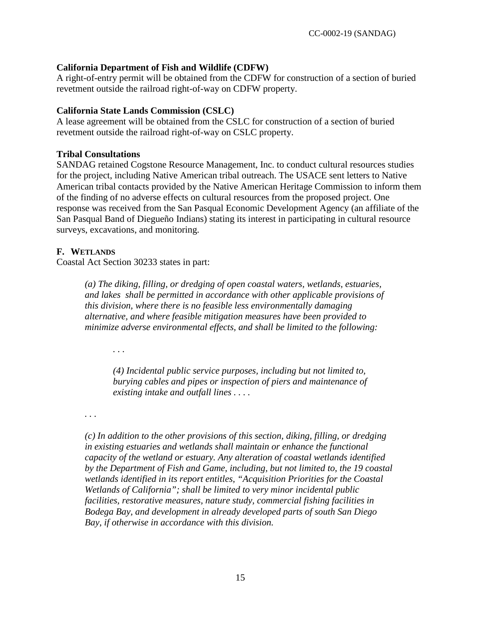## **California Department of Fish and Wildlife (CDFW)**

A right-of-entry permit will be obtained from the CDFW for construction of a section of buried revetment outside the railroad right-of-way on CDFW property.

### **California State Lands Commission (CSLC)**

A lease agreement will be obtained from the CSLC for construction of a section of buried revetment outside the railroad right-of-way on CSLC property.

### **Tribal Consultations**

SANDAG retained Cogstone Resource Management, Inc. to conduct cultural resources studies for the project, including Native American tribal outreach. The USACE sent letters to Native American tribal contacts provided by the Native American Heritage Commission to inform them of the finding of no adverse effects on cultural resources from the proposed project. One response was received from the San Pasqual Economic Development Agency (an affiliate of the San Pasqual Band of Diegueño Indians) stating its interest in participating in cultural resource surveys, excavations, and monitoring.

## <span id="page-14-0"></span>**F. WETLANDS**

Coastal Act Section 30233 states in part:

*(a) The diking, filling, or dredging of open coastal waters, wetlands, estuaries, and lakes shall be permitted in accordance with other applicable provisions of this division, where there is no feasible less environmentally damaging alternative, and where feasible mitigation measures have been provided to minimize adverse environmental effects, and shall be limited to the following:* 

*. . .* 

*(4) Incidental public service purposes, including but not limited to, burying cables and pipes or inspection of piers and maintenance of existing intake and outfall lines . . . .* 

*. . .* 

*(c) In addition to the other provisions of this section, diking, filling, or dredging in existing estuaries and wetlands shall maintain or enhance the functional capacity of the wetland or estuary. Any alteration of coastal wetlands identified by the Department of Fish and Game, including, but not limited to, the 19 coastal wetlands identified in its report entitles, "Acquisition Priorities for the Coastal Wetlands of California"; shall be limited to very minor incidental public facilities, restorative measures, nature study, commercial fishing facilities in Bodega Bay, and development in already developed parts of south San Diego Bay, if otherwise in accordance with this division.*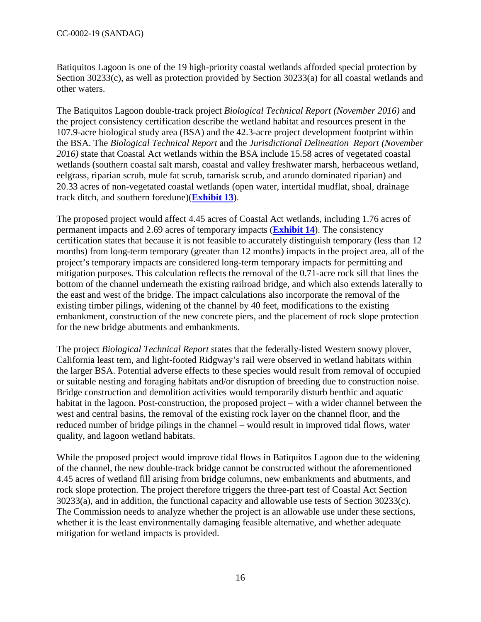Batiquitos Lagoon is one of the 19 high-priority coastal wetlands afforded special protection by Section 30233(c), as well as protection provided by Section 30233(a) for all coastal wetlands and other waters.

The Batiquitos Lagoon double-track project *Biological Technical Report (November 2016)* and the project consistency certification describe the wetland habitat and resources present in the 107.9-acre biological study area (BSA) and the 42.3-acre project development footprint within the BSA. The *Biological Technical Report* and the *Jurisdictional Delineation Report (November 2016)* state that Coastal Act wetlands within the BSA include 15.58 acres of vegetated coastal wetlands (southern coastal salt marsh, coastal and valley freshwater marsh, herbaceous wetland, eelgrass, riparian scrub, mule fat scrub, tamarisk scrub, and arundo dominated riparian) and 20.33 acres of non-vegetated coastal wetlands (open water, intertidal mudflat, shoal, drainage track ditch, and southern foredune)(**[Exhibit 13](https://documents.coastal.ca.gov/reports/2019/6/W21c/W21c-6-2019-exhibits.pdf)**).

The proposed project would affect 4.45 acres of Coastal Act wetlands, including 1.76 acres of permanent impacts and 2.69 acres of temporary impacts (**[Exhibit 14](https://documents.coastal.ca.gov/reports/2019/6/W21c/W21c-6-2019-exhibits.pdf)**). The consistency certification states that because it is not feasible to accurately distinguish temporary (less than 12 months) from long-term temporary (greater than 12 months) impacts in the project area, all of the project's temporary impacts are considered long-term temporary impacts for permitting and mitigation purposes. This calculation reflects the removal of the 0.71-acre rock sill that lines the bottom of the channel underneath the existing railroad bridge, and which also extends laterally to the east and west of the bridge. The impact calculations also incorporate the removal of the existing timber pilings, widening of the channel by 40 feet, modifications to the existing embankment, construction of the new concrete piers, and the placement of rock slope protection for the new bridge abutments and embankments.

The project *Biological Technical Report* states that the federally-listed Western snowy plover, California least tern, and light-footed Ridgway's rail were observed in wetland habitats within the larger BSA. Potential adverse effects to these species would result from removal of occupied or suitable nesting and foraging habitats and/or disruption of breeding due to construction noise. Bridge construction and demolition activities would temporarily disturb benthic and aquatic habitat in the lagoon. Post-construction, the proposed project – with a wider channel between the west and central basins, the removal of the existing rock layer on the channel floor, and the reduced number of bridge pilings in the channel – would result in improved tidal flows, water quality, and lagoon wetland habitats.

While the proposed project would improve tidal flows in Batiquitos Lagoon due to the widening of the channel, the new double-track bridge cannot be constructed without the aforementioned 4.45 acres of wetland fill arising from bridge columns, new embankments and abutments, and rock slope protection. The project therefore triggers the three-part test of Coastal Act Section 30233(a), and in addition, the functional capacity and allowable use tests of Section 30233(c). The Commission needs to analyze whether the project is an allowable use under these sections, whether it is the least environmentally damaging feasible alternative, and whether adequate mitigation for wetland impacts is provided.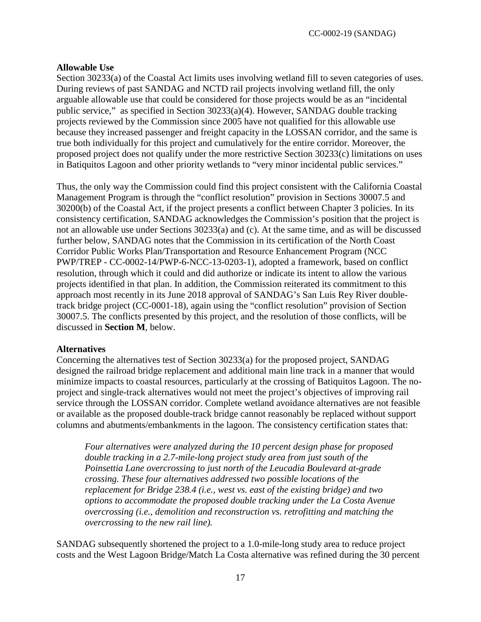### **Allowable Use**

Section 30233(a) of the Coastal Act limits uses involving wetland fill to seven categories of uses. During reviews of past SANDAG and NCTD rail projects involving wetland fill, the only arguable allowable use that could be considered for those projects would be as an "incidental public service," as specified in Section 30233(a)(4). However, SANDAG double tracking projects reviewed by the Commission since 2005 have not qualified for this allowable use because they increased passenger and freight capacity in the LOSSAN corridor, and the same is true both individually for this project and cumulatively for the entire corridor. Moreover, the proposed project does not qualify under the more restrictive Section 30233(c) limitations on uses in Batiquitos Lagoon and other priority wetlands to "very minor incidental public services."

Thus, the only way the Commission could find this project consistent with the California Coastal Management Program is through the "conflict resolution" provision in Sections 30007.5 and 30200(b) of the Coastal Act, if the project presents a conflict between Chapter 3 policies. In its consistency certification, SANDAG acknowledges the Commission's position that the project is not an allowable use under Sections 30233(a) and (c). At the same time, and as will be discussed further below, SANDAG notes that the Commission in its certification of the North Coast Corridor Public Works Plan/Transportation and Resource Enhancement Program (NCC PWP/TREP - CC-0002-14/PWP-6-NCC-13-0203-1), adopted a framework, based on conflict resolution, through which it could and did authorize or indicate its intent to allow the various projects identified in that plan. In addition, the Commission reiterated its commitment to this approach most recently in its June 2018 approval of SANDAG's San Luis Rey River doubletrack bridge project (CC-0001-18), again using the "conflict resolution" provision of Section 30007.5. The conflicts presented by this project, and the resolution of those conflicts, will be discussed in **Section M**, below.

#### **Alternatives**

Concerning the alternatives test of Section 30233(a) for the proposed project, SANDAG designed the railroad bridge replacement and additional main line track in a manner that would minimize impacts to coastal resources, particularly at the crossing of Batiquitos Lagoon. The noproject and single-track alternatives would not meet the project's objectives of improving rail service through the LOSSAN corridor. Complete wetland avoidance alternatives are not feasible or available as the proposed double-track bridge cannot reasonably be replaced without support columns and abutments/embankments in the lagoon. The consistency certification states that:

*Four alternatives were analyzed during the 10 percent design phase for proposed double tracking in a 2.7-mile-long project study area from just south of the Poinsettia Lane overcrossing to just north of the Leucadia Boulevard at-grade crossing. These four alternatives addressed two possible locations of the replacement for Bridge 238.4 (i.e., west vs. east of the existing bridge) and two options to accommodate the proposed double tracking under the La Costa Avenue overcrossing (i.e., demolition and reconstruction vs. retrofitting and matching the overcrossing to the new rail line).* 

SANDAG subsequently shortened the project to a 1.0-mile-long study area to reduce project costs and the West Lagoon Bridge/Match La Costa alternative was refined during the 30 percent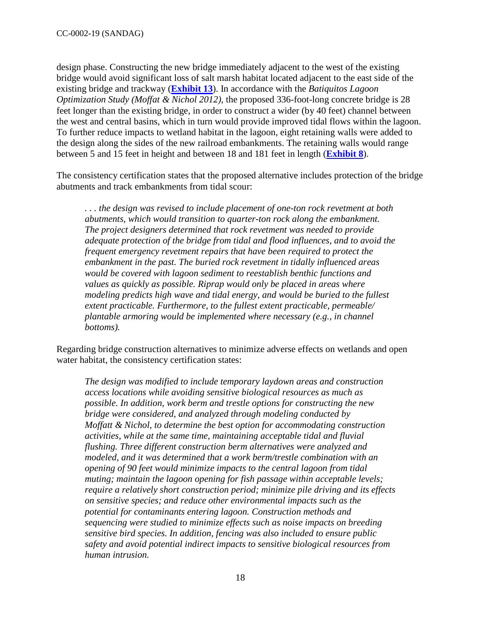design phase. Constructing the new bridge immediately adjacent to the west of the existing bridge would avoid significant loss of salt marsh habitat located adjacent to the east side of the existing bridge and trackway (**[Exhibit 13](https://documents.coastal.ca.gov/reports/2019/6/W21c/W21c-6-2019-exhibits.pdf)**). In accordance with the *Batiquitos Lagoon Optimization Study (Moffat & Nichol 2012)*, the proposed 336-foot-long concrete bridge is 28 feet longer than the existing bridge, in order to construct a wider (by 40 feet) channel between the west and central basins, which in turn would provide improved tidal flows within the lagoon. To further reduce impacts to wetland habitat in the lagoon, eight retaining walls were added to the design along the sides of the new railroad embankments. The retaining walls would range between 5 and 15 feet in height and between 18 and 181 feet in length (**[Exhibit 8](https://documents.coastal.ca.gov/reports/2019/6/W21c/W21c-6-2019-exhibits.pdf)**).

The consistency certification states that the proposed alternative includes protection of the bridge abutments and track embankments from tidal scour:

*. . . the design was revised to include placement of one-ton rock revetment at both abutments, which would transition to quarter-ton rock along the embankment. The project designers determined that rock revetment was needed to provide adequate protection of the bridge from tidal and flood influences, and to avoid the frequent emergency revetment repairs that have been required to protect the embankment in the past. The buried rock revetment in tidally influenced areas would be covered with lagoon sediment to reestablish benthic functions and values as quickly as possible. Riprap would only be placed in areas where modeling predicts high wave and tidal energy, and would be buried to the fullest extent practicable. Furthermore, to the fullest extent practicable, permeable/ plantable armoring would be implemented where necessary (e.g., in channel bottoms).* 

Regarding bridge construction alternatives to minimize adverse effects on wetlands and open water habitat, the consistency certification states:

*The design was modified to include temporary laydown areas and construction access locations while avoiding sensitive biological resources as much as possible. In addition, work berm and trestle options for constructing the new bridge were considered, and analyzed through modeling conducted by Moffatt & Nichol, to determine the best option for accommodating construction activities, while at the same time, maintaining acceptable tidal and fluvial flushing. Three different construction berm alternatives were analyzed and modeled, and it was determined that a work berm/trestle combination with an opening of 90 feet would minimize impacts to the central lagoon from tidal muting; maintain the lagoon opening for fish passage within acceptable levels; require a relatively short construction period; minimize pile driving and its effects on sensitive species; and reduce other environmental impacts such as the potential for contaminants entering lagoon. Construction methods and sequencing were studied to minimize effects such as noise impacts on breeding sensitive bird species. In addition, fencing was also included to ensure public safety and avoid potential indirect impacts to sensitive biological resources from human intrusion.*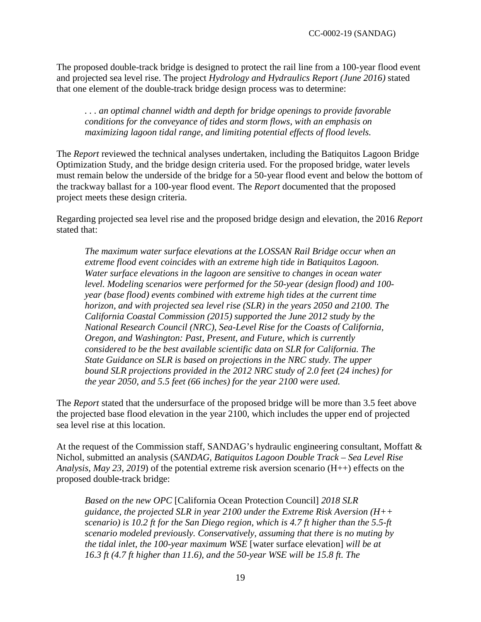The proposed double-track bridge is designed to protect the rail line from a 100-year flood event and projected sea level rise. The project *Hydrology and Hydraulics Report (June 2016)* stated that one element of the double-track bridge design process was to determine:

*. . . an optimal channel width and depth for bridge openings to provide favorable conditions for the conveyance of tides and storm flows, with an emphasis on maximizing lagoon tidal range, and limiting potential effects of flood levels.* 

The *Report* reviewed the technical analyses undertaken, including the Batiquitos Lagoon Bridge Optimization Study, and the bridge design criteria used. For the proposed bridge, water levels must remain below the underside of the bridge for a 50-year flood event and below the bottom of the trackway ballast for a 100-year flood event. The *Report* documented that the proposed project meets these design criteria.

Regarding projected sea level rise and the proposed bridge design and elevation, the 2016 *Report* stated that:

*The maximum water surface elevations at the LOSSAN Rail Bridge occur when an extreme flood event coincides with an extreme high tide in Batiquitos Lagoon. Water surface elevations in the lagoon are sensitive to changes in ocean water level. Modeling scenarios were performed for the 50-year (design flood) and 100 year (base flood) events combined with extreme high tides at the current time horizon, and with projected sea level rise (SLR) in the years 2050 and 2100. The California Coastal Commission (2015) supported the June 2012 study by the National Research Council (NRC), Sea-Level Rise for the Coasts of California, Oregon, and Washington: Past, Present, and Future, which is currently considered to be the best available scientific data on SLR for California. The State Guidance on SLR is based on projections in the NRC study. The upper bound SLR projections provided in the 2012 NRC study of 2.0 feet (24 inches) for the year 2050, and 5.5 feet (66 inches) for the year 2100 were used.* 

The *Report* stated that the undersurface of the proposed bridge will be more than 3.5 feet above the projected base flood elevation in the year 2100, which includes the upper end of projected sea level rise at this location.

At the request of the Commission staff, SANDAG's hydraulic engineering consultant, Moffatt & Nichol, submitted an analysis (*SANDAG, Batiquitos Lagoon Double Track – Sea Level Rise Analysis, May 23, 2019*) of the potential extreme risk aversion scenario (H++) effects on the proposed double-track bridge:

*Based on the new OPC* [California Ocean Protection Council] *2018 SLR guidance, the projected SLR in year 2100 under the Extreme Risk Aversion (H++ scenario) is 10.2 ft for the San Diego region, which is 4.7 ft higher than the 5.5-ft scenario modeled previously. Conservatively, assuming that there is no muting by the tidal inlet, the 100-year maximum WSE* [water surface elevation] *will be at 16.3 ft (4.7 ft higher than 11.6), and the 50-year WSE will be 15.8 ft. The*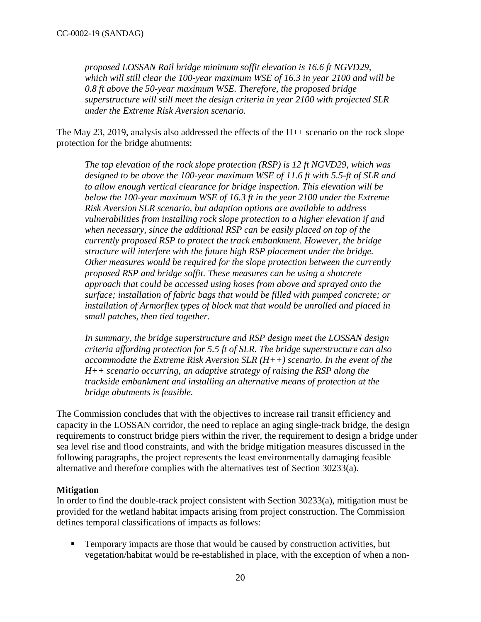*proposed LOSSAN Rail bridge minimum soffit elevation is 16.6 ft NGVD29, which will still clear the 100-year maximum WSE of 16.3 in year 2100 and will be 0.8 ft above the 50-year maximum WSE. Therefore, the proposed bridge superstructure will still meet the design criteria in year 2100 with projected SLR under the Extreme Risk Aversion scenario.* 

The May 23, 2019, analysis also addressed the effects of the H++ scenario on the rock slope protection for the bridge abutments:

*The top elevation of the rock slope protection (RSP) is 12 ft NGVD29, which was designed to be above the 100-year maximum WSE of 11.6 ft with 5.5-ft of SLR and to allow enough vertical clearance for bridge inspection. This elevation will be below the 100-year maximum WSE of 16.3 ft in the year 2100 under the Extreme Risk Aversion SLR scenario, but adaption options are available to address vulnerabilities from installing rock slope protection to a higher elevation if and when necessary, since the additional RSP can be easily placed on top of the currently proposed RSP to protect the track embankment. However, the bridge structure will interfere with the future high RSP placement under the bridge. Other measures would be required for the slope protection between the currently proposed RSP and bridge soffit. These measures can be using a shotcrete approach that could be accessed using hoses from above and sprayed onto the surface; installation of fabric bags that would be filled with pumped concrete; or installation of Armorflex types of block mat that would be unrolled and placed in small patches, then tied together.* 

*In summary, the bridge superstructure and RSP design meet the LOSSAN design criteria affording protection for 5.5 ft of SLR. The bridge superstructure can also accommodate the Extreme Risk Aversion SLR (H++) scenario. In the event of the H++ scenario occurring, an adaptive strategy of raising the RSP along the trackside embankment and installing an alternative means of protection at the bridge abutments is feasible.* 

The Commission concludes that with the objectives to increase rail transit efficiency and capacity in the LOSSAN corridor, the need to replace an aging single-track bridge, the design requirements to construct bridge piers within the river, the requirement to design a bridge under sea level rise and flood constraints, and with the bridge mitigation measures discussed in the following paragraphs, the project represents the least environmentally damaging feasible alternative and therefore complies with the alternatives test of Section 30233(a).

#### **Mitigation**

In order to find the double-track project consistent with Section 30233(a), mitigation must be provided for the wetland habitat impacts arising from project construction. The Commission defines temporal classifications of impacts as follows:

 Temporary impacts are those that would be caused by construction activities, but vegetation/habitat would be re-established in place, with the exception of when a non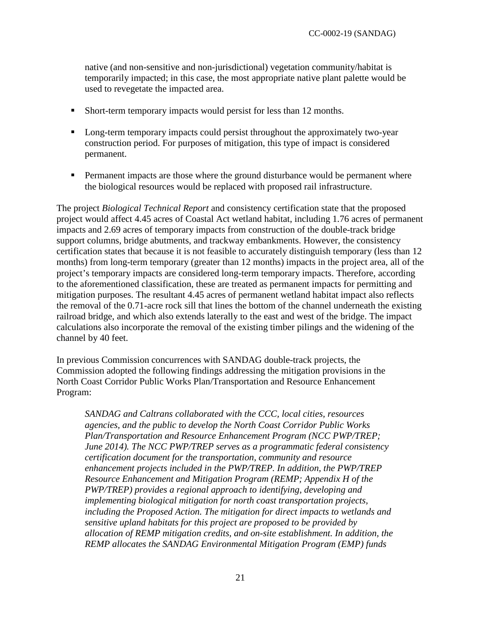native (and non-sensitive and non-jurisdictional) vegetation community/habitat is temporarily impacted; in this case, the most appropriate native plant palette would be used to revegetate the impacted area.

- Short-term temporary impacts would persist for less than 12 months.
- **Long-term temporary impacts could persist throughout the approximately two-year** construction period. For purposes of mitigation, this type of impact is considered permanent.
- **Permanent impacts are those where the ground disturbance would be permanent where** the biological resources would be replaced with proposed rail infrastructure.

The project *Biological Technical Report* and consistency certification state that the proposed project would affect 4.45 acres of Coastal Act wetland habitat, including 1.76 acres of permanent impacts and 2.69 acres of temporary impacts from construction of the double-track bridge support columns, bridge abutments, and trackway embankments. However, the consistency certification states that because it is not feasible to accurately distinguish temporary (less than 12 months) from long-term temporary (greater than 12 months) impacts in the project area, all of the project's temporary impacts are considered long-term temporary impacts. Therefore, according to the aforementioned classification, these are treated as permanent impacts for permitting and mitigation purposes. The resultant 4.45 acres of permanent wetland habitat impact also reflects the removal of the 0.71-acre rock sill that lines the bottom of the channel underneath the existing railroad bridge, and which also extends laterally to the east and west of the bridge. The impact calculations also incorporate the removal of the existing timber pilings and the widening of the channel by 40 feet.

In previous Commission concurrences with SANDAG double-track projects, the Commission adopted the following findings addressing the mitigation provisions in the North Coast Corridor Public Works Plan/Transportation and Resource Enhancement Program:

*SANDAG and Caltrans collaborated with the CCC, local cities, resources agencies, and the public to develop the North Coast Corridor Public Works Plan/Transportation and Resource Enhancement Program (NCC PWP/TREP; June 2014). The NCC PWP/TREP serves as a programmatic federal consistency certification document for the transportation, community and resource enhancement projects included in the PWP/TREP. In addition, the PWP/TREP Resource Enhancement and Mitigation Program (REMP; Appendix H of the PWP/TREP) provides a regional approach to identifying, developing and implementing biological mitigation for north coast transportation projects, including the Proposed Action. The mitigation for direct impacts to wetlands and sensitive upland habitats for this project are proposed to be provided by allocation of REMP mitigation credits, and on-site establishment. In addition, the REMP allocates the SANDAG Environmental Mitigation Program (EMP) funds*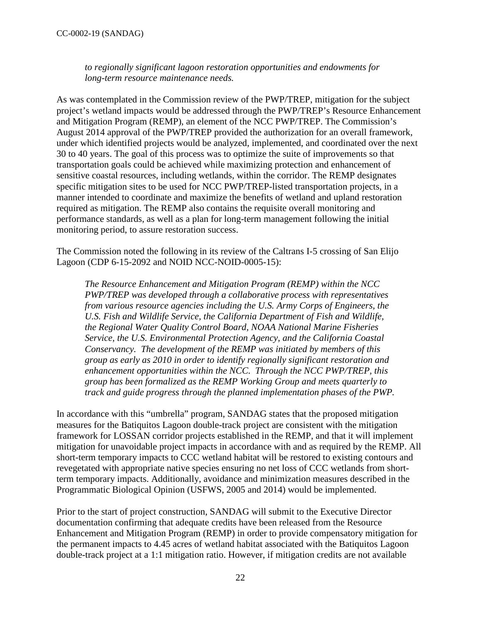*to regionally significant lagoon restoration opportunities and endowments for long-term resource maintenance needs.*

As was contemplated in the Commission review of the PWP/TREP, mitigation for the subject project's wetland impacts would be addressed through the PWP/TREP's Resource Enhancement and Mitigation Program (REMP), an element of the NCC PWP/TREP. The Commission's August 2014 approval of the PWP/TREP provided the authorization for an overall framework, under which identified projects would be analyzed, implemented, and coordinated over the next 30 to 40 years. The goal of this process was to optimize the suite of improvements so that transportation goals could be achieved while maximizing protection and enhancement of sensitive coastal resources, including wetlands, within the corridor. The REMP designates specific mitigation sites to be used for NCC PWP/TREP-listed transportation projects, in a manner intended to coordinate and maximize the benefits of wetland and upland restoration required as mitigation. The REMP also contains the requisite overall monitoring and performance standards, as well as a plan for long-term management following the initial monitoring period, to assure restoration success.

The Commission noted the following in its review of the Caltrans I-5 crossing of San Elijo Lagoon (CDP 6-15-2092 and NOID NCC-NOID-0005-15):

*The Resource Enhancement and Mitigation Program (REMP) within the NCC PWP/TREP was developed through a collaborative process with representatives from various resource agencies including the U.S. Army Corps of Engineers, the U.S. Fish and Wildlife Service, the California Department of Fish and Wildlife, the Regional Water Quality Control Board, NOAA National Marine Fisheries Service, the U.S. Environmental Protection Agency, and the California Coastal Conservancy. The development of the REMP was initiated by members of this group as early as 2010 in order to identify regionally significant restoration and enhancement opportunities within the NCC. Through the NCC PWP/TREP, this group has been formalized as the REMP Working Group and meets quarterly to track and guide progress through the planned implementation phases of the PWP.* 

In accordance with this "umbrella" program, SANDAG states that the proposed mitigation measures for the Batiquitos Lagoon double-track project are consistent with the mitigation framework for LOSSAN corridor projects established in the REMP, and that it will implement mitigation for unavoidable project impacts in accordance with and as required by the REMP. All short-term temporary impacts to CCC wetland habitat will be restored to existing contours and revegetated with appropriate native species ensuring no net loss of CCC wetlands from shortterm temporary impacts. Additionally, avoidance and minimization measures described in the Programmatic Biological Opinion (USFWS, 2005 and 2014) would be implemented.

Prior to the start of project construction, SANDAG will submit to the Executive Director documentation confirming that adequate credits have been released from the Resource Enhancement and Mitigation Program (REMP) in order to provide compensatory mitigation for the permanent impacts to 4.45 acres of wetland habitat associated with the Batiquitos Lagoon double-track project at a 1:1 mitigation ratio. However, if mitigation credits are not available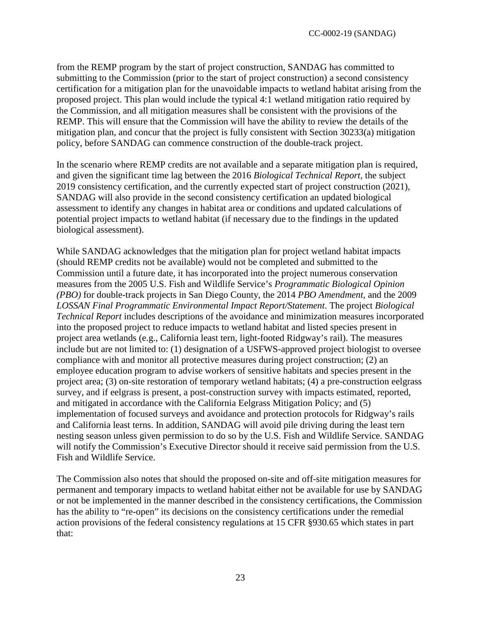from the REMP program by the start of project construction, SANDAG has committed to submitting to the Commission (prior to the start of project construction) a second consistency certification for a mitigation plan for the unavoidable impacts to wetland habitat arising from the proposed project. This plan would include the typical 4:1 wetland mitigation ratio required by the Commission, and all mitigation measures shall be consistent with the provisions of the REMP. This will ensure that the Commission will have the ability to review the details of the mitigation plan, and concur that the project is fully consistent with Section 30233(a) mitigation policy, before SANDAG can commence construction of the double-track project.

In the scenario where REMP credits are not available and a separate mitigation plan is required, and given the significant time lag between the 2016 *Biological Technical Report,* the subject 2019 consistency certification, and the currently expected start of project construction (2021), SANDAG will also provide in the second consistency certification an updated biological assessment to identify any changes in habitat area or conditions and updated calculations of potential project impacts to wetland habitat (if necessary due to the findings in the updated biological assessment).

While SANDAG acknowledges that the mitigation plan for project wetland habitat impacts (should REMP credits not be available) would not be completed and submitted to the Commission until a future date, it has incorporated into the project numerous conservation measures from the 2005 U.S. Fish and Wildlife Service's *Programmatic Biological Opinion (PBO)* for double-track projects in San Diego County, the 2014 *PBO Amendment*, and the 2009 *LOSSAN Final Programmatic Environmental Impact Report/Statement*. The project *Biological Technical Report* includes descriptions of the avoidance and minimization measures incorporated into the proposed project to reduce impacts to wetland habitat and listed species present in project area wetlands (e.g., California least tern, light-footed Ridgway's rail). The measures include but are not limited to: (1) designation of a USFWS-approved project biologist to oversee compliance with and monitor all protective measures during project construction; (2) an employee education program to advise workers of sensitive habitats and species present in the project area; (3) on-site restoration of temporary wetland habitats; (4) a pre-construction eelgrass survey, and if eelgrass is present, a post-construction survey with impacts estimated, reported, and mitigated in accordance with the California Eelgrass Mitigation Policy; and (5) implementation of focused surveys and avoidance and protection protocols for Ridgway's rails and California least terns. In addition, SANDAG will avoid pile driving during the least tern nesting season unless given permission to do so by the U.S. Fish and Wildlife Service. SANDAG will notify the Commission's Executive Director should it receive said permission from the U.S. Fish and Wildlife Service.

The Commission also notes that should the proposed on-site and off-site mitigation measures for permanent and temporary impacts to wetland habitat either not be available for use by SANDAG or not be implemented in the manner described in the consistency certifications, the Commission has the ability to "re-open" its decisions on the consistency certifications under the remedial action provisions of the federal consistency regulations at 15 CFR §930.65 which states in part that: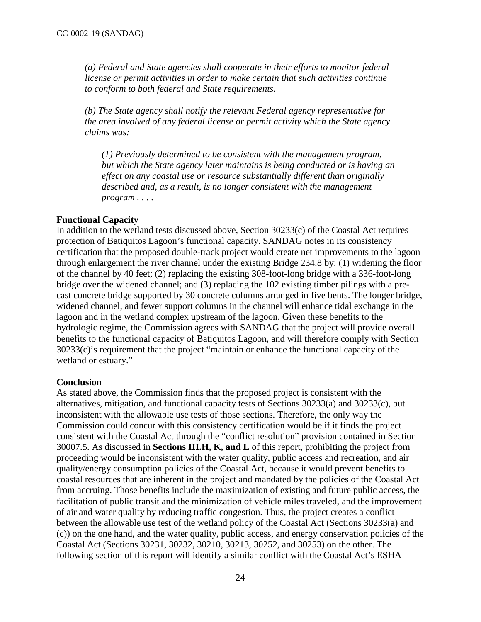*(a) Federal and State agencies shall cooperate in their efforts to monitor federal license or permit activities in order to make certain that such activities continue to conform to both federal and State requirements.* 

*(b) The State agency shall notify the relevant Federal agency representative for the area involved of any federal license or permit activity which the State agency claims was:* 

*(1) Previously determined to be consistent with the management program, but which the State agency later maintains is being conducted or is having an effect on any coastal use or resource substantially different than originally described and, as a result, is no longer consistent with the management program . . . .* 

## **Functional Capacity**

In addition to the wetland tests discussed above, Section 30233(c) of the Coastal Act requires protection of Batiquitos Lagoon's functional capacity. SANDAG notes in its consistency certification that the proposed double-track project would create net improvements to the lagoon through enlargement the river channel under the existing Bridge 234.8 by: (1) widening the floor of the channel by 40 feet; (2) replacing the existing 308-foot-long bridge with a 336-foot-long bridge over the widened channel; and (3) replacing the 102 existing timber pilings with a precast concrete bridge supported by 30 concrete columns arranged in five bents. The longer bridge, widened channel, and fewer support columns in the channel will enhance tidal exchange in the lagoon and in the wetland complex upstream of the lagoon. Given these benefits to the hydrologic regime, the Commission agrees with SANDAG that the project will provide overall benefits to the functional capacity of Batiquitos Lagoon, and will therefore comply with Section 30233(c)'s requirement that the project "maintain or enhance the functional capacity of the wetland or estuary."

#### **Conclusion**

As stated above, the Commission finds that the proposed project is consistent with the alternatives, mitigation, and functional capacity tests of Sections 30233(a) and 30233(c), but inconsistent with the allowable use tests of those sections. Therefore, the only way the Commission could concur with this consistency certification would be if it finds the project consistent with the Coastal Act through the "conflict resolution" provision contained in Section 30007.5. As discussed in **Sections III.H, K, and L** of this report, prohibiting the project from proceeding would be inconsistent with the water quality, public access and recreation, and air quality/energy consumption policies of the Coastal Act, because it would prevent benefits to coastal resources that are inherent in the project and mandated by the policies of the Coastal Act from accruing. Those benefits include the maximization of existing and future public access, the facilitation of public transit and the minimization of vehicle miles traveled, and the improvement of air and water quality by reducing traffic congestion. Thus, the project creates a conflict between the allowable use test of the wetland policy of the Coastal Act (Sections 30233(a) and (c)) on the one hand, and the water quality, public access, and energy conservation policies of the Coastal Act (Sections 30231, 30232, 30210, 30213, 30252, and 30253) on the other. The following section of this report will identify a similar conflict with the Coastal Act's ESHA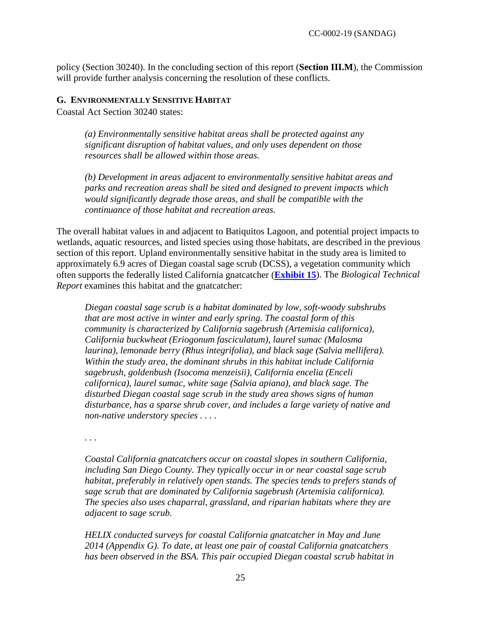policy (Section 30240). In the concluding section of this report (**Section III.M**), the Commission will provide further analysis concerning the resolution of these conflicts.

#### <span id="page-24-0"></span>**G. ENVIRONMENTALLY SENSITIVE HABITAT**

Coastal Act Section 30240 states:

*(a) Environmentally sensitive habitat areas shall be protected against any significant disruption of habitat values, and only uses dependent on those resources shall be allowed within those areas.* 

*(b) Development in areas adjacent to environmentally sensitive habitat areas and parks and recreation areas shall be sited and designed to prevent impacts which would significantly degrade those areas, and shall be compatible with the continuance of those habitat and recreation areas.* 

The overall habitat values in and adjacent to Batiquitos Lagoon, and potential project impacts to wetlands, aquatic resources, and listed species using those habitats, are described in the previous section of this report. Upland environmentally sensitive habitat in the study area is limited to approximately 6.9 acres of Diegan coastal sage scrub (DCSS), a vegetation community which often supports the federally listed California gnatcatcher (**[Exhibit 15](https://documents.coastal.ca.gov/reports/2019/6/W21c/W21c-6-2019-exhibits.pdf)**). The *Biological Technical Report* examines this habitat and the gnatcatcher:

*Diegan coastal sage scrub is a habitat dominated by low, soft-woody subshrubs that are most active in winter and early spring. The coastal form of this community is characterized by California sagebrush (Artemisia californica), California buckwheat (Eriogonum fasciculatum), laurel sumac (Malosma laurina), lemonade berry (Rhus integrifolia), and black sage (Salvia mellifera). Within the study area, the dominant shrubs in this habitat include California sagebrush, goldenbush (Isocoma menzeisii), California encelia (Enceli californica), laurel sumac, white sage (Salvia apiana), and black sage. The disturbed Diegan coastal sage scrub in the study area shows signs of human disturbance, has a sparse shrub cover, and includes a large variety of native and non-native understory species . . . .* 

*. . .* 

*Coastal California gnatcatchers occur on coastal slopes in southern California, including San Diego County. They typically occur in or near coastal sage scrub habitat, preferably in relatively open stands. The species tends to prefers stands of sage scrub that are dominated by California sagebrush (Artemisia californica). The species also uses chaparral, grassland, and riparian habitats where they are adjacent to sage scrub.* 

*HELIX conducted surveys for coastal California gnatcatcher in May and June 2014 (Appendix G). To date, at least one pair of coastal California gnatcatchers has been observed in the BSA. This pair occupied Diegan coastal scrub habitat in*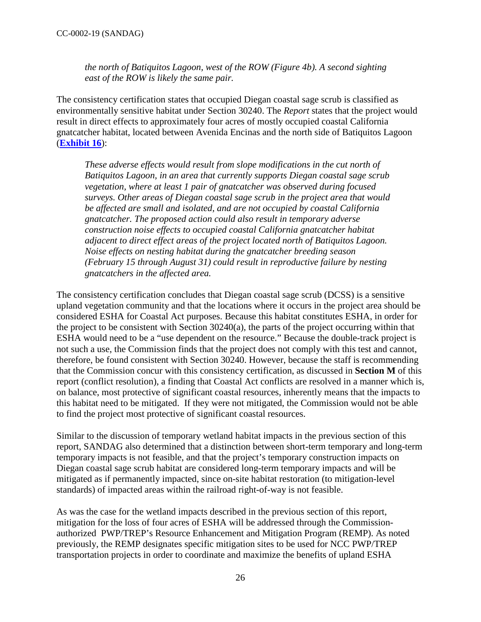*the north of Batiquitos Lagoon, west of the ROW (Figure 4b). A second sighting east of the ROW is likely the same pair.*

The consistency certification states that occupied Diegan coastal sage scrub is classified as environmentally sensitive habitat under Section 30240. The *Report* states that the project would result in direct effects to approximately four acres of mostly occupied coastal California gnatcatcher habitat, located between Avenida Encinas and the north side of Batiquitos Lagoon (**[Exhibit 16](https://documents.coastal.ca.gov/reports/2019/6/W21c/W21c-6-2019-exhibits.pdf)**):

*These adverse effects would result from slope modifications in the cut north of Batiquitos Lagoon, in an area that currently supports Diegan coastal sage scrub vegetation, where at least 1 pair of gnatcatcher was observed during focused surveys. Other areas of Diegan coastal sage scrub in the project area that would be affected are small and isolated, and are not occupied by coastal California gnatcatcher. The proposed action could also result in temporary adverse construction noise effects to occupied coastal California gnatcatcher habitat adjacent to direct effect areas of the project located north of Batiquitos Lagoon. Noise effects on nesting habitat during the gnatcatcher breeding season (February 15 through August 31) could result in reproductive failure by nesting gnatcatchers in the affected area.* 

The consistency certification concludes that Diegan coastal sage scrub (DCSS) is a sensitive upland vegetation community and that the locations where it occurs in the project area should be considered ESHA for Coastal Act purposes. Because this habitat constitutes ESHA, in order for the project to be consistent with Section 30240(a), the parts of the project occurring within that ESHA would need to be a "use dependent on the resource." Because the double-track project is not such a use, the Commission finds that the project does not comply with this test and cannot, therefore, be found consistent with Section 30240. However, because the staff is recommending that the Commission concur with this consistency certification, as discussed in **Section M** of this report (conflict resolution), a finding that Coastal Act conflicts are resolved in a manner which is, on balance, most protective of significant coastal resources, inherently means that the impacts to this habitat need to be mitigated. If they were not mitigated, the Commission would not be able to find the project most protective of significant coastal resources.

Similar to the discussion of temporary wetland habitat impacts in the previous section of this report, SANDAG also determined that a distinction between short-term temporary and long-term temporary impacts is not feasible, and that the project's temporary construction impacts on Diegan coastal sage scrub habitat are considered long-term temporary impacts and will be mitigated as if permanently impacted, since on-site habitat restoration (to mitigation-level standards) of impacted areas within the railroad right-of-way is not feasible.

As was the case for the wetland impacts described in the previous section of this report, mitigation for the loss of four acres of ESHA will be addressed through the Commissionauthorized PWP/TREP's Resource Enhancement and Mitigation Program (REMP). As noted previously, the REMP designates specific mitigation sites to be used for NCC PWP/TREP transportation projects in order to coordinate and maximize the benefits of upland ESHA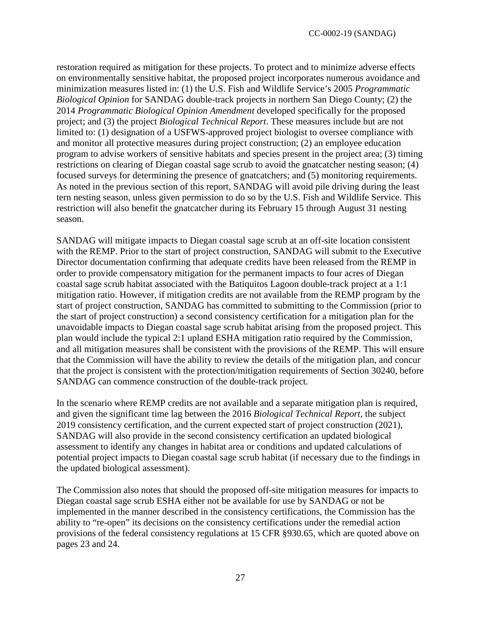restoration required as mitigation for these projects. To protect and to minimize adverse effects on environmentally sensitive habitat, the proposed project incorporates numerous avoidance and minimization measures listed in: (1) the U.S. Fish and Wildlife Service's 2005 *Programmatic Biological Opinion* for SANDAG double-track projects in northern San Diego County; (2) the 2014 *Programmatic Biological Opinion Amendment* developed specifically for the proposed project; and (3) the project *Biological Technical Report*. These measures include but are not limited to: (1) designation of a USFWS-approved project biologist to oversee compliance with and monitor all protective measures during project construction; (2) an employee education program to advise workers of sensitive habitats and species present in the project area; (3) timing restrictions on clearing of Diegan coastal sage scrub to avoid the gnatcatcher nesting season; (4) focused surveys for determining the presence of gnatcatchers; and (5) monitoring requirements. As noted in the previous section of this report, SANDAG will avoid pile driving during the least tern nesting season, unless given permission to do so by the U.S. Fish and Wildlife Service. This restriction will also benefit the gnatcatcher during its February 15 through August 31 nesting season.

SANDAG will mitigate impacts to Diegan coastal sage scrub at an off-site location consistent with the REMP. Prior to the start of project construction, SANDAG will submit to the Executive Director documentation confirming that adequate credits have been released from the REMP in order to provide compensatory mitigation for the permanent impacts to four acres of Diegan coastal sage scrub habitat associated with the Batiquitos Lagoon double-track project at a 1:1 mitigation ratio. However, if mitigation credits are not available from the REMP program by the start of project construction, SANDAG has committed to submitting to the Commission (prior to the start of project construction) a second consistency certification for a mitigation plan for the unavoidable impacts to Diegan coastal sage scrub habitat arising from the proposed project. This plan would include the typical 2:1 upland ESHA mitigation ratio required by the Commission, and all mitigation measures shall be consistent with the provisions of the REMP. This will ensure that the Commission will have the ability to review the details of the mitigation plan, and concur that the project is consistent with the protection/mitigation requirements of Section 30240, before SANDAG can commence construction of the double-track project.

In the scenario where REMP credits are not available and a separate mitigation plan is required, and given the significant time lag between the 2016 *Biological Technical Report,* the subject 2019 consistency certification, and the current expected start of project construction (2021), SANDAG will also provide in the second consistency certification an updated biological assessment to identify any changes in habitat area or conditions and updated calculations of potential project impacts to Diegan coastal sage scrub habitat (if necessary due to the findings in the updated biological assessment).

The Commission also notes that should the proposed off-site mitigation measures for impacts to Diegan coastal sage scrub ESHA either not be available for use by SANDAG or not be implemented in the manner described in the consistency certifications, the Commission has the ability to "re-open" its decisions on the consistency certifications under the remedial action provisions of the federal consistency regulations at 15 CFR §930.65, which are quoted above on pages 23 and 24.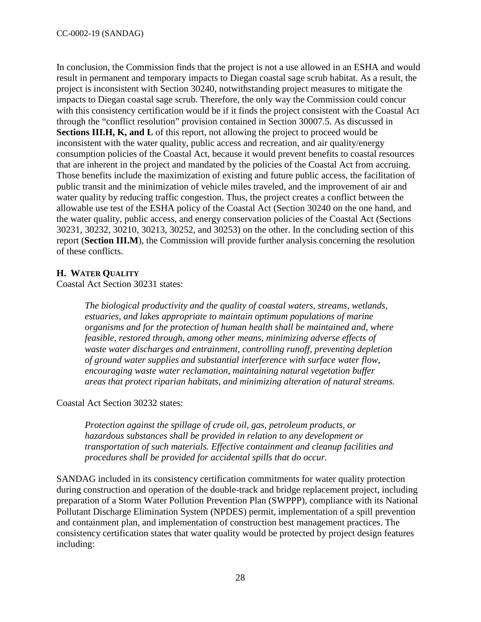In conclusion, the Commission finds that the project is not a use allowed in an ESHA and would result in permanent and temporary impacts to Diegan coastal sage scrub habitat. As a result, the project is inconsistent with Section 30240, notwithstanding project measures to mitigate the impacts to Diegan coastal sage scrub. Therefore, the only way the Commission could concur with this consistency certification would be if it finds the project consistent with the Coastal Act through the "conflict resolution" provision contained in Section 30007.5. As discussed in **Sections III.H, K, and L** of this report, not allowing the project to proceed would be inconsistent with the water quality, public access and recreation, and air quality/energy consumption policies of the Coastal Act, because it would prevent benefits to coastal resources that are inherent in the project and mandated by the policies of the Coastal Act from accruing. Those benefits include the maximization of existing and future public access, the facilitation of public transit and the minimization of vehicle miles traveled, and the improvement of air and water quality by reducing traffic congestion. Thus, the project creates a conflict between the allowable use test of the ESHA policy of the Coastal Act (Section 30240 on the one hand, and the water quality, public access, and energy conservation policies of the Coastal Act (Sections 30231, 30232, 30210, 30213, 30252, and 30253) on the other. In the concluding section of this report (**Section III.M**), the Commission will provide further analysis concerning the resolution of these conflicts.

#### <span id="page-27-0"></span>**H. WATER QUALITY**

Coastal Act Section 30231 states:

*The biological productivity and the quality of coastal waters, streams, wetlands, estuaries, and lakes appropriate to maintain optimum populations of marine organisms and for the protection of human health shall be maintained and, where feasible, restored through, among other means, minimizing adverse effects of waste water discharges and entrainment, controlling runoff, preventing depletion of ground water supplies and substantial interference with surface water flow, encouraging waste water reclamation, maintaining natural vegetation buffer areas that protect riparian habitats, and minimizing alteration of natural streams.* 

#### Coastal Act Section 30232 states:

*Protection against the spillage of crude oil, gas, petroleum products, or hazardous substances shall be provided in relation to any development or transportation of such materials. Effective containment and cleanup facilities and procedures shall be provided for accidental spills that do occur.* 

SANDAG included in its consistency certification commitments for water quality protection during construction and operation of the double-track and bridge replacement project, including preparation of a Storm Water Pollution Prevention Plan (SWPPP), compliance with its National Pollutant Discharge Elimination System (NPDES) permit, implementation of a spill prevention and containment plan, and implementation of construction best management practices. The consistency certification states that water quality would be protected by project design features including: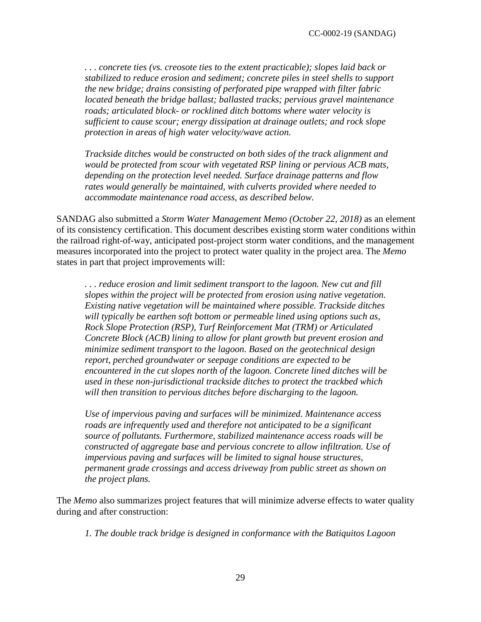*. . . concrete ties (vs. creosote ties to the extent practicable); slopes laid back or stabilized to reduce erosion and sediment; concrete piles in steel shells to support the new bridge; drains consisting of perforated pipe wrapped with filter fabric located beneath the bridge ballast; ballasted tracks; pervious gravel maintenance roads; articulated block- or rocklined ditch bottoms where water velocity is sufficient to cause scour; energy dissipation at drainage outlets; and rock slope protection in areas of high water velocity/wave action.* 

*Trackside ditches would be constructed on both sides of the track alignment and would be protected from scour with vegetated RSP lining or pervious ACB mats, depending on the protection level needed. Surface drainage patterns and flow rates would generally be maintained, with culverts provided where needed to accommodate maintenance road access, as described below.* 

SANDAG also submitted a *Storm Water Management Memo (October 22, 2018)* as an element of its consistency certification. This document describes existing storm water conditions within the railroad right-of-way, anticipated post-project storm water conditions, and the management measures incorporated into the project to protect water quality in the project area. The *Memo* states in part that project improvements will:

*. . . reduce erosion and limit sediment transport to the lagoon. New cut and fill slopes within the project will be protected from erosion using native vegetation. Existing native vegetation will be maintained where possible. Trackside ditches will typically be earthen soft bottom or permeable lined using options such as, Rock Slope Protection (RSP), Turf Reinforcement Mat (TRM) or Articulated Concrete Block (ACB) lining to allow for plant growth but prevent erosion and minimize sediment transport to the lagoon. Based on the geotechnical design report, perched groundwater or seepage conditions are expected to be encountered in the cut slopes north of the lagoon. Concrete lined ditches will be used in these non-jurisdictional trackside ditches to protect the trackbed which will then transition to pervious ditches before discharging to the lagoon.* 

*Use of impervious paving and surfaces will be minimized. Maintenance access roads are infrequently used and therefore not anticipated to be a significant source of pollutants. Furthermore, stabilized maintenance access roads will be constructed of aggregate base and pervious concrete to allow infiltration. Use of impervious paving and surfaces will be limited to signal house structures, permanent grade crossings and access driveway from public street as shown on the project plans.* 

The *Memo* also summarizes project features that will minimize adverse effects to water quality during and after construction:

*1. The double track bridge is designed in conformance with the Batiquitos Lagoon*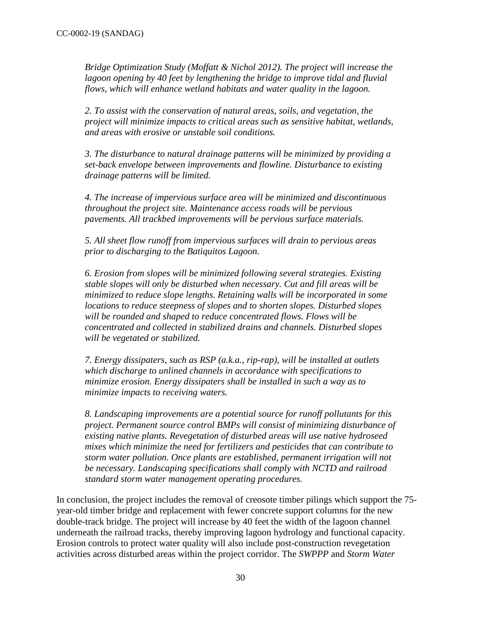*Bridge Optimization Study (Moffatt & Nichol 2012). The project will increase the*  lagoon opening by 40 feet by lengthening the bridge to improve tidal and fluvial *flows, which will enhance wetland habitats and water quality in the lagoon.* 

*2. To assist with the conservation of natural areas, soils, and vegetation, the project will minimize impacts to critical areas such as sensitive habitat, wetlands, and areas with erosive or unstable soil conditions.* 

*3. The disturbance to natural drainage patterns will be minimized by providing a set-back envelope between improvements and flowline. Disturbance to existing drainage patterns will be limited.*

*4. The increase of impervious surface area will be minimized and discontinuous throughout the project site. Maintenance access roads will be pervious pavements. All trackbed improvements will be pervious surface materials.* 

*5. All sheet flow runoff from impervious surfaces will drain to pervious areas prior to discharging to the Batiquitos Lagoon.* 

*6. Erosion from slopes will be minimized following several strategies. Existing stable slopes will only be disturbed when necessary. Cut and fill areas will be minimized to reduce slope lengths. Retaining walls will be incorporated in some locations to reduce steepness of slopes and to shorten slopes. Disturbed slopes will be rounded and shaped to reduce concentrated flows. Flows will be concentrated and collected in stabilized drains and channels. Disturbed slopes will be vegetated or stabilized.*

*7. Energy dissipaters, such as RSP (a.k.a., rip-rap), will be installed at outlets which discharge to unlined channels in accordance with specifications to minimize erosion. Energy dissipaters shall be installed in such a way as to minimize impacts to receiving waters.*

*8. Landscaping improvements are a potential source for runoff pollutants for this project. Permanent source control BMPs will consist of minimizing disturbance of existing native plants. Revegetation of disturbed areas will use native hydroseed mixes which minimize the need for fertilizers and pesticides that can contribute to storm water pollution. Once plants are established, permanent irrigation will not be necessary. Landscaping specifications shall comply with NCTD and railroad standard storm water management operating procedures.* 

In conclusion, the project includes the removal of creosote timber pilings which support the 75 year-old timber bridge and replacement with fewer concrete support columns for the new double-track bridge. The project will increase by 40 feet the width of the lagoon channel underneath the railroad tracks, thereby improving lagoon hydrology and functional capacity. Erosion controls to protect water quality will also include post-construction revegetation activities across disturbed areas within the project corridor. The *SWPPP* and *Storm Water*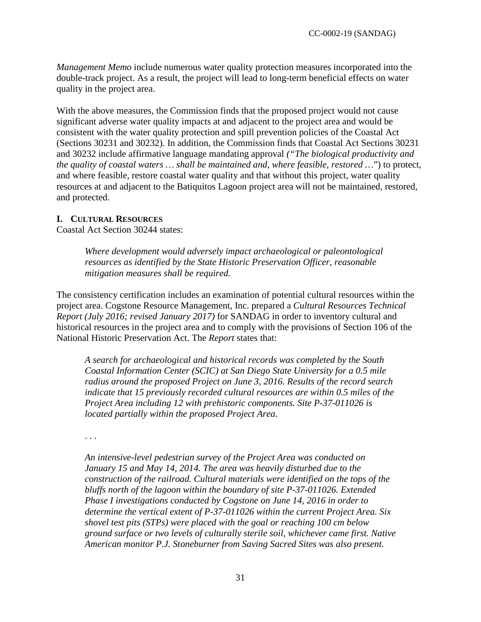*Management Memo* include numerous water quality protection measures incorporated into the double-track project. As a result, the project will lead to long-term beneficial effects on water quality in the project area.

With the above measures, the Commission finds that the proposed project would not cause significant adverse water quality impacts at and adjacent to the project area and would be consistent with the water quality protection and spill prevention policies of the Coastal Act (Sections 30231 and 30232). In addition, the Commission finds that Coastal Act Sections 30231 and 30232 include affirmative language mandating approval *("The biological productivity and the quality of coastal waters … shall be maintained and, where feasible, restored …*") to protect, and where feasible, restore coastal water quality and that without this project, water quality resources at and adjacent to the Batiquitos Lagoon project area will not be maintained, restored, and protected.

#### <span id="page-30-0"></span>**I. CULTURAL RESOURCES**

Coastal Act Section 30244 states:

*Where development would adversely impact archaeological or paleontological resources as identified by the State Historic Preservation Officer, reasonable mitigation measures shall be required.*

The consistency certification includes an examination of potential cultural resources within the project area. Cogstone Resource Management, Inc. prepared a *Cultural Resources Technical Report (July 2016; revised January 2017)* for SANDAG in order to inventory cultural and historical resources in the project area and to comply with the provisions of Section 106 of the National Historic Preservation Act. The *Report* states that:

*A search for archaeological and historical records was completed by the South Coastal Information Center (SCIC) at San Diego State University for a 0.5 mile radius around the proposed Project on June 3, 2016. Results of the record search indicate that 15 previously recorded cultural resources are within 0.5 miles of the Project Area including 12 with prehistoric components. Site P-37-011026 is located partially within the proposed Project Area.* 

. . .

*An intensive-level pedestrian survey of the Project Area was conducted on January 15 and May 14, 2014. The area was heavily disturbed due to the construction of the railroad. Cultural materials were identified on the tops of the bluffs north of the lagoon within the boundary of site P-37-011026. Extended Phase I investigations conducted by Cogstone on June 14, 2016 in order to determine the vertical extent of P-37-011026 within the current Project Area. Six shovel test pits (STPs) were placed with the goal or reaching 100 cm below ground surface or two levels of culturally sterile soil, whichever came first. Native American monitor P.J. Stoneburner from Saving Sacred Sites was also present.*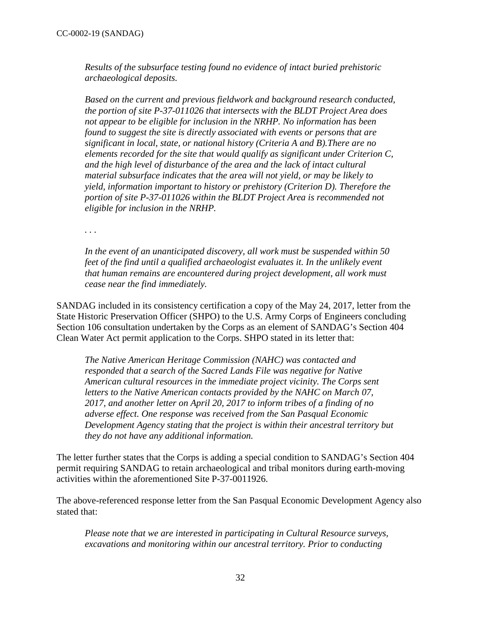*Results of the subsurface testing found no evidence of intact buried prehistoric archaeological deposits.* 

*Based on the current and previous fieldwork and background research conducted, the portion of site P-37-011026 that intersects with the BLDT Project Area does not appear to be eligible for inclusion in the NRHP. No information has been found to suggest the site is directly associated with events or persons that are significant in local, state, or national history (Criteria A and B).There are no elements recorded for the site that would qualify as significant under Criterion C, and the high level of disturbance of the area and the lack of intact cultural material subsurface indicates that the area will not yield, or may be likely to yield, information important to history or prehistory (Criterion D). Therefore the portion of site P-37-011026 within the BLDT Project Area is recommended not eligible for inclusion in the NRHP.* 

*. . .* 

*In the event of an unanticipated discovery, all work must be suspended within 50 feet of the find until a qualified archaeologist evaluates it. In the unlikely event that human remains are encountered during project development, all work must cease near the find immediately.*

SANDAG included in its consistency certification a copy of the May 24, 2017, letter from the State Historic Preservation Officer (SHPO) to the U.S. Army Corps of Engineers concluding Section 106 consultation undertaken by the Corps as an element of SANDAG's Section 404 Clean Water Act permit application to the Corps. SHPO stated in its letter that:

*The Native American Heritage Commission (NAHC) was contacted and responded that a search of the Sacred Lands File was negative for Native American cultural resources in the immediate project vicinity. The Corps sent letters to the Native American contacts provided by the NAHC on March 07, 2017, and another letter on April 20, 2017 to inform tribes of a finding of no adverse effect. One response was received from the San Pasqual Economic Development Agency stating that the project is within their ancestral territory but they do not have any additional information.* 

The letter further states that the Corps is adding a special condition to SANDAG's Section 404 permit requiring SANDAG to retain archaeological and tribal monitors during earth-moving activities within the aforementioned Site P-37-0011926.

The above-referenced response letter from the San Pasqual Economic Development Agency also stated that:

*Please note that we are interested in participating in Cultural Resource surveys, excavations and monitoring within our ancestral territory. Prior to conducting*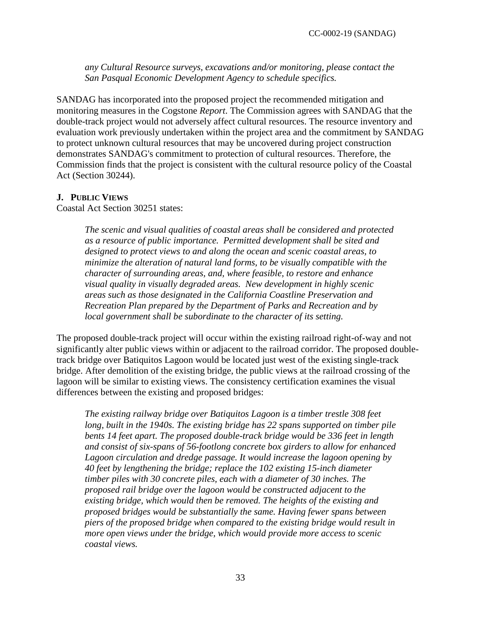*any Cultural Resource surveys, excavations and/or monitoring, please contact the San Pasqual Economic Development Agency to schedule specifics.*

SANDAG has incorporated into the proposed project the recommended mitigation and monitoring measures in the Cogstone *Report*. The Commission agrees with SANDAG that the double-track project would not adversely affect cultural resources. The resource inventory and evaluation work previously undertaken within the project area and the commitment by SANDAG to protect unknown cultural resources that may be uncovered during project construction demonstrates SANDAG's commitment to protection of cultural resources. Therefore, the Commission finds that the project is consistent with the cultural resource policy of the Coastal Act (Section 30244).

#### <span id="page-32-0"></span>**J. PUBLIC VIEWS**

Coastal Act Section 30251 states:

*The scenic and visual qualities of coastal areas shall be considered and protected as a resource of public importance. Permitted development shall be sited and designed to protect views to and along the ocean and scenic coastal areas, to minimize the alteration of natural land forms, to be visually compatible with the character of surrounding areas, and, where feasible, to restore and enhance visual quality in visually degraded areas. New development in highly scenic areas such as those designated in the California Coastline Preservation and Recreation Plan prepared by the Department of Parks and Recreation and by local government shall be subordinate to the character of its setting.* 

The proposed double-track project will occur within the existing railroad right-of-way and not significantly alter public views within or adjacent to the railroad corridor. The proposed doubletrack bridge over Batiquitos Lagoon would be located just west of the existing single-track bridge. After demolition of the existing bridge, the public views at the railroad crossing of the lagoon will be similar to existing views. The consistency certification examines the visual differences between the existing and proposed bridges:

*The existing railway bridge over Batiquitos Lagoon is a timber trestle 308 feet*  long, built in the 1940s. The existing bridge has 22 spans supported on timber pile *bents 14 feet apart. The proposed double-track bridge would be 336 feet in length and consist of six-spans of 56-footlong concrete box girders to allow for enhanced Lagoon circulation and dredge passage. It would increase the lagoon opening by 40 feet by lengthening the bridge; replace the 102 existing 15-inch diameter timber piles with 30 concrete piles, each with a diameter of 30 inches. The proposed rail bridge over the lagoon would be constructed adjacent to the existing bridge, which would then be removed. The heights of the existing and proposed bridges would be substantially the same. Having fewer spans between piers of the proposed bridge when compared to the existing bridge would result in more open views under the bridge, which would provide more access to scenic coastal views.*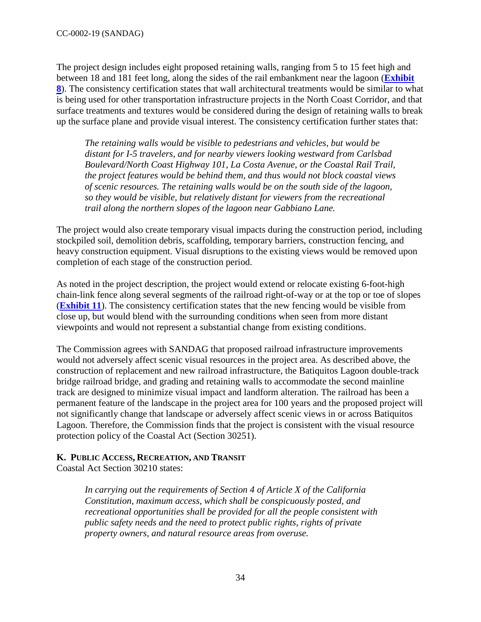The project design includes eight proposed retaining walls, ranging from 5 to 15 feet high and between 18 and 181 feet long, along the sides of the rail embankment near the lagoon (**[Exhibit](https://documents.coastal.ca.gov/reports/2019/6/W21c/W21c-6-2019-exhibits.pdf)  [8](https://documents.coastal.ca.gov/reports/2019/6/W21c/W21c-6-2019-exhibits.pdf)**). The consistency certification states that wall architectural treatments would be similar to what is being used for other transportation infrastructure projects in the North Coast Corridor, and that surface treatments and textures would be considered during the design of retaining walls to break up the surface plane and provide visual interest. The consistency certification further states that:

*The retaining walls would be visible to pedestrians and vehicles, but would be distant for I-5 travelers, and for nearby viewers looking westward from Carlsbad Boulevard/North Coast Highway 101, La Costa Avenue, or the Coastal Rail Trail, the project features would be behind them, and thus would not block coastal views of scenic resources. The retaining walls would be on the south side of the lagoon, so they would be visible, but relatively distant for viewers from the recreational trail along the northern slopes of the lagoon near Gabbiano Lane.* 

The project would also create temporary visual impacts during the construction period, including stockpiled soil, demolition debris, scaffolding, temporary barriers, construction fencing, and heavy construction equipment. Visual disruptions to the existing views would be removed upon completion of each stage of the construction period.

As noted in the project description, the project would extend or relocate existing 6-foot-high chain-link fence along several segments of the railroad right-of-way or at the top or toe of slopes (**[Exhibit 11](https://documents.coastal.ca.gov/reports/2019/6/W21c/W21c-6-2019-exhibits.pdf)**). The consistency certification states that the new fencing would be visible from close up, but would blend with the surrounding conditions when seen from more distant viewpoints and would not represent a substantial change from existing conditions.

The Commission agrees with SANDAG that proposed railroad infrastructure improvements would not adversely affect scenic visual resources in the project area. As described above, the construction of replacement and new railroad infrastructure, the Batiquitos Lagoon double-track bridge railroad bridge, and grading and retaining walls to accommodate the second mainline track are designed to minimize visual impact and landform alteration. The railroad has been a permanent feature of the landscape in the project area for 100 years and the proposed project will not significantly change that landscape or adversely affect scenic views in or across Batiquitos Lagoon. Therefore, the Commission finds that the project is consistent with the visual resource protection policy of the Coastal Act (Section 30251).

# <span id="page-33-0"></span>**K. PUBLIC ACCESS, RECREATION, AND TRANSIT**

Coastal Act Section 30210 states:

*In carrying out the requirements of Section 4 of Article X of the California Constitution, maximum access, which shall be conspicuously posted, and recreational opportunities shall be provided for all the people consistent with public safety needs and the need to protect public rights, rights of private property owners, and natural resource areas from overuse.*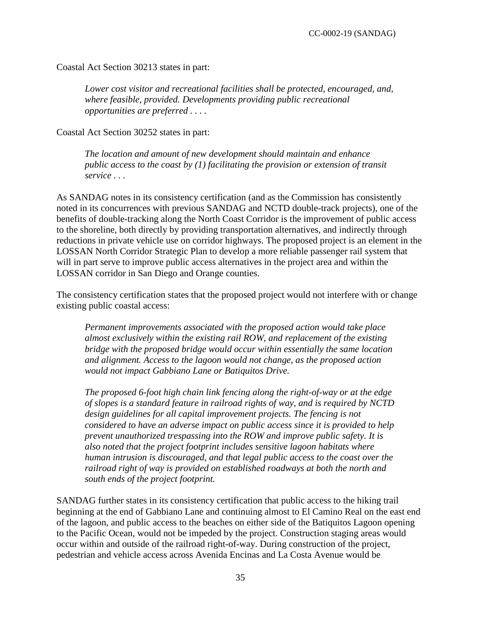Coastal Act Section 30213 states in part:

*Lower cost visitor and recreational facilities shall be protected, encouraged, and, where feasible, provided. Developments providing public recreational opportunities are preferred . . . .* 

Coastal Act Section 30252 states in part:

*The location and amount of new development should maintain and enhance public access to the coast by (1) facilitating the provision or extension of transit service . . .* 

As SANDAG notes in its consistency certification (and as the Commission has consistently noted in its concurrences with previous SANDAG and NCTD double-track projects), one of the benefits of double-tracking along the North Coast Corridor is the improvement of public access to the shoreline, both directly by providing transportation alternatives, and indirectly through reductions in private vehicle use on corridor highways. The proposed project is an element in the LOSSAN North Corridor Strategic Plan to develop a more reliable passenger rail system that will in part serve to improve public access alternatives in the project area and within the LOSSAN corridor in San Diego and Orange counties.

The consistency certification states that the proposed project would not interfere with or change existing public coastal access:

*Permanent improvements associated with the proposed action would take place almost exclusively within the existing rail ROW, and replacement of the existing bridge with the proposed bridge would occur within essentially the same location and alignment. Access to the lagoon would not change, as the proposed action would not impact Gabbiano Lane or Batiquitos Drive.*

*The proposed 6-foot high chain link fencing along the right-of-way or at the edge of slopes is a standard feature in railroad rights of way, and is required by NCTD design guidelines for all capital improvement projects. The fencing is not considered to have an adverse impact on public access since it is provided to help prevent unauthorized trespassing into the ROW and improve public safety. It is also noted that the project footprint includes sensitive lagoon habitats where human intrusion is discouraged, and that legal public access to the coast over the railroad right of way is provided on established roadways at both the north and south ends of the project footprint.* 

SANDAG further states in its consistency certification that public access to the hiking trail beginning at the end of Gabbiano Lane and continuing almost to El Camino Real on the east end of the lagoon, and public access to the beaches on either side of the Batiquitos Lagoon opening to the Pacific Ocean, would not be impeded by the project. Construction staging areas would occur within and outside of the railroad right-of-way. During construction of the project, pedestrian and vehicle access across Avenida Encinas and La Costa Avenue would be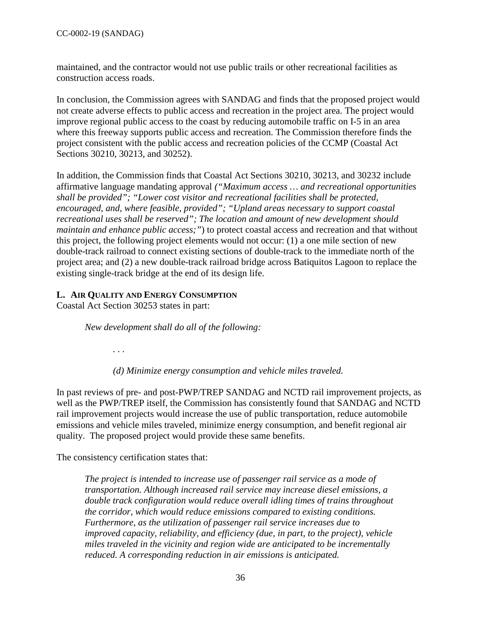maintained, and the contractor would not use public trails or other recreational facilities as construction access roads.

In conclusion, the Commission agrees with SANDAG and finds that the proposed project would not create adverse effects to public access and recreation in the project area. The project would improve regional public access to the coast by reducing automobile traffic on I-5 in an area where this freeway supports public access and recreation. The Commission therefore finds the project consistent with the public access and recreation policies of the CCMP (Coastal Act Sections 30210, 30213, and 30252).

In addition, the Commission finds that Coastal Act Sections 30210, 30213, and 30232 include affirmative language mandating approval *("Maximum access … and recreational opportunities shall be provided"; "Lower cost visitor and recreational facilities shall be protected, encouraged, and, where feasible, provided"; "Upland areas necessary to support coastal recreational uses shall be reserved"; The location and amount of new development should maintain and enhance public access;"*) to protect coastal access and recreation and that without this project, the following project elements would not occur: (1) a one mile section of new double-track railroad to connect existing sections of double-track to the immediate north of the project area; and (2) a new double-track railroad bridge across Batiquitos Lagoon to replace the existing single-track bridge at the end of its design life.

# <span id="page-35-0"></span>**L. AIR QUALITY AND ENERGY CONSUMPTION**

Coastal Act Section 30253 states in part:

*New development shall do all of the following:* 

*. . .* 

*(d) Minimize energy consumption and vehicle miles traveled.* 

In past reviews of pre- and post-PWP/TREP SANDAG and NCTD rail improvement projects, as well as the PWP/TREP itself, the Commission has consistently found that SANDAG and NCTD rail improvement projects would increase the use of public transportation, reduce automobile emissions and vehicle miles traveled, minimize energy consumption, and benefit regional air quality. The proposed project would provide these same benefits.

The consistency certification states that:

*The project is intended to increase use of passenger rail service as a mode of transportation. Although increased rail service may increase diesel emissions, a double track configuration would reduce overall idling times of trains throughout the corridor, which would reduce emissions compared to existing conditions. Furthermore, as the utilization of passenger rail service increases due to improved capacity, reliability, and efficiency (due, in part, to the project), vehicle miles traveled in the vicinity and region wide are anticipated to be incrementally reduced. A corresponding reduction in air emissions is anticipated.*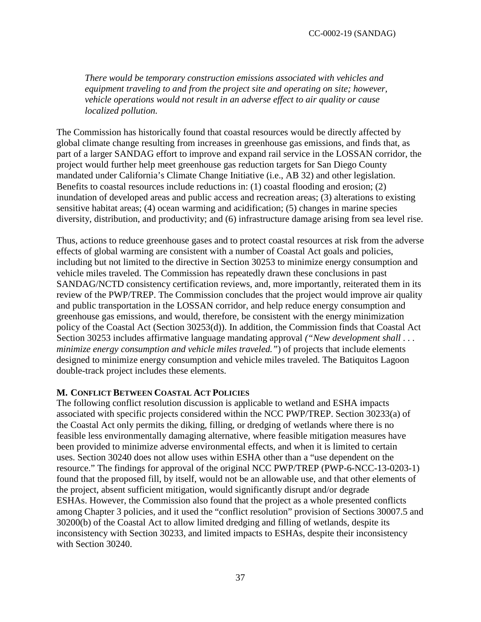*There would be temporary construction emissions associated with vehicles and equipment traveling to and from the project site and operating on site; however, vehicle operations would not result in an adverse effect to air quality or cause localized pollution.* 

The Commission has historically found that coastal resources would be directly affected by global climate change resulting from increases in greenhouse gas emissions, and finds that, as part of a larger SANDAG effort to improve and expand rail service in the LOSSAN corridor, the project would further help meet greenhouse gas reduction targets for San Diego County mandated under California's Climate Change Initiative (i.e., AB 32) and other legislation. Benefits to coastal resources include reductions in: (1) coastal flooding and erosion; (2) inundation of developed areas and public access and recreation areas; (3) alterations to existing sensitive habitat areas; (4) ocean warming and acidification; (5) changes in marine species diversity, distribution, and productivity; and (6) infrastructure damage arising from sea level rise.

Thus, actions to reduce greenhouse gases and to protect coastal resources at risk from the adverse effects of global warming are consistent with a number of Coastal Act goals and policies, including but not limited to the directive in Section 30253 to minimize energy consumption and vehicle miles traveled. The Commission has repeatedly drawn these conclusions in past SANDAG/NCTD consistency certification reviews, and, more importantly, reiterated them in its review of the PWP/TREP. The Commission concludes that the project would improve air quality and public transportation in the LOSSAN corridor, and help reduce energy consumption and greenhouse gas emissions, and would, therefore, be consistent with the energy minimization policy of the Coastal Act (Section 30253(d)). In addition, the Commission finds that Coastal Act Section 30253 includes affirmative language mandating approval *("New development shall . . . minimize energy consumption and vehicle miles traveled."*) of projects that include elements designed to minimize energy consumption and vehicle miles traveled. The Batiquitos Lagoon double-track project includes these elements.

#### <span id="page-36-0"></span>**M. CONFLICT BETWEEN COASTAL ACT POLICIES**

The following conflict resolution discussion is applicable to wetland and ESHA impacts associated with specific projects considered within the NCC PWP/TREP. Section 30233(a) of the Coastal Act only permits the diking, filling, or dredging of wetlands where there is no feasible less environmentally damaging alternative, where feasible mitigation measures have been provided to minimize adverse environmental effects, and when it is limited to certain uses. Section 30240 does not allow uses within ESHA other than a "use dependent on the resource." The findings for approval of the original NCC PWP/TREP (PWP-6-NCC-13-0203-1) found that the proposed fill, by itself, would not be an allowable use, and that other elements of the project, absent sufficient mitigation, would significantly disrupt and/or degrade ESHAs. However, the Commission also found that the project as a whole presented conflicts among Chapter 3 policies, and it used the "conflict resolution" provision of Sections 30007.5 and 30200(b) of the Coastal Act to allow limited dredging and filling of wetlands, despite its inconsistency with Section 30233, and limited impacts to ESHAs, despite their inconsistency with Section 30240.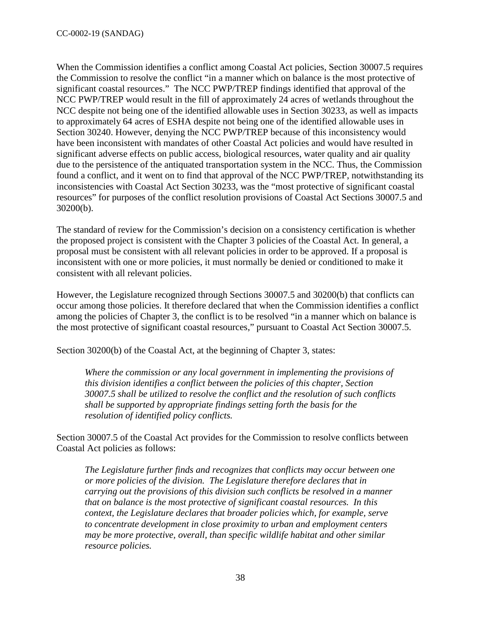When the Commission identifies a conflict among Coastal Act policies, Section 30007.5 requires the Commission to resolve the conflict "in a manner which on balance is the most protective of significant coastal resources." The NCC PWP/TREP findings identified that approval of the NCC PWP/TREP would result in the fill of approximately 24 acres of wetlands throughout the NCC despite not being one of the identified allowable uses in Section 30233, as well as impacts to approximately 64 acres of ESHA despite not being one of the identified allowable uses in Section 30240. However, denying the NCC PWP/TREP because of this inconsistency would have been inconsistent with mandates of other Coastal Act policies and would have resulted in significant adverse effects on public access, biological resources, water quality and air quality due to the persistence of the antiquated transportation system in the NCC. Thus, the Commission found a conflict, and it went on to find that approval of the NCC PWP/TREP, notwithstanding its inconsistencies with Coastal Act Section 30233, was the "most protective of significant coastal resources" for purposes of the conflict resolution provisions of Coastal Act Sections 30007.5 and 30200(b).

The standard of review for the Commission's decision on a consistency certification is whether the proposed project is consistent with the Chapter 3 policies of the Coastal Act. In general, a proposal must be consistent with all relevant policies in order to be approved. If a proposal is inconsistent with one or more policies, it must normally be denied or conditioned to make it consistent with all relevant policies.

However, the Legislature recognized through Sections 30007.5 and 30200(b) that conflicts can occur among those policies. It therefore declared that when the Commission identifies a conflict among the policies of Chapter 3, the conflict is to be resolved "in a manner which on balance is the most protective of significant coastal resources," pursuant to Coastal Act Section 30007.5.

Section 30200(b) of the Coastal Act, at the beginning of Chapter 3, states:

*Where the commission or any local government in implementing the provisions of this division identifies a conflict between the policies of this chapter, Section 30007.5 shall be utilized to resolve the conflict and the resolution of such conflicts shall be supported by appropriate findings setting forth the basis for the resolution of identified policy conflicts.*

Section 30007.5 of the Coastal Act provides for the Commission to resolve conflicts between Coastal Act policies as follows:

*The Legislature further finds and recognizes that conflicts may occur between one or more policies of the division. The Legislature therefore declares that in carrying out the provisions of this division such conflicts be resolved in a manner that on balance is the most protective of significant coastal resources. In this context, the Legislature declares that broader policies which, for example, serve to concentrate development in close proximity to urban and employment centers may be more protective, overall, than specific wildlife habitat and other similar resource policies.*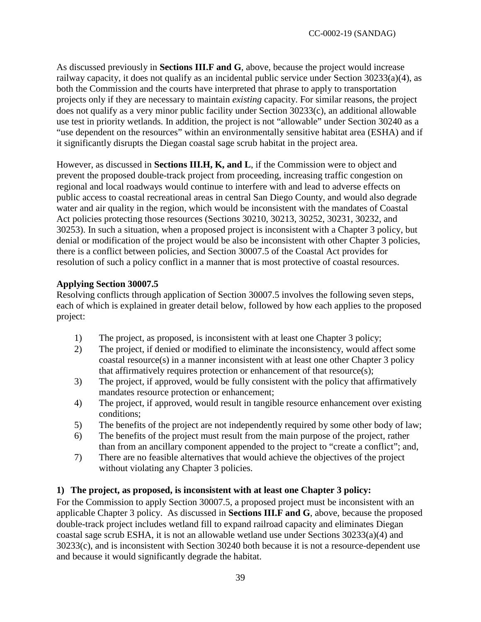As discussed previously in **Sections III.F and G**, above, because the project would increase railway capacity, it does not qualify as an incidental public service under Section 30233(a)(4), as both the Commission and the courts have interpreted that phrase to apply to transportation projects only if they are necessary to maintain *existing* capacity. For similar reasons, the project does not qualify as a very minor public facility under Section 30233(c), an additional allowable use test in priority wetlands. In addition, the project is not "allowable" under Section 30240 as a "use dependent on the resources" within an environmentally sensitive habitat area (ESHA) and if it significantly disrupts the Diegan coastal sage scrub habitat in the project area.

However, as discussed in **Sections III.H, K, and L**, if the Commission were to object and prevent the proposed double-track project from proceeding, increasing traffic congestion on regional and local roadways would continue to interfere with and lead to adverse effects on public access to coastal recreational areas in central San Diego County, and would also degrade water and air quality in the region, which would be inconsistent with the mandates of Coastal Act policies protecting those resources (Sections 30210, 30213, 30252, 30231, 30232, and 30253). In such a situation, when a proposed project is inconsistent with a Chapter 3 policy, but denial or modification of the project would be also be inconsistent with other Chapter 3 policies, there is a conflict between policies, and Section 30007.5 of the Coastal Act provides for resolution of such a policy conflict in a manner that is most protective of coastal resources.

## **Applying Section 30007.5**

Resolving conflicts through application of Section 30007.5 involves the following seven steps, each of which is explained in greater detail below, followed by how each applies to the proposed project:

- 1) The project, as proposed, is inconsistent with at least one Chapter 3 policy;
- 2) The project, if denied or modified to eliminate the inconsistency, would affect some coastal resource(s) in a manner inconsistent with at least one other Chapter 3 policy that affirmatively requires protection or enhancement of that resource(s);
- 3) The project, if approved, would be fully consistent with the policy that affirmatively mandates resource protection or enhancement;
- 4) The project, if approved, would result in tangible resource enhancement over existing conditions;
- 5) The benefits of the project are not independently required by some other body of law;
- 6) The benefits of the project must result from the main purpose of the project, rather than from an ancillary component appended to the project to "create a conflict"; and,
- 7) There are no feasible alternatives that would achieve the objectives of the project without violating any Chapter 3 policies.

# **1) The project, as proposed, is inconsistent with at least one Chapter 3 policy:**

For the Commission to apply Section 30007.5, a proposed project must be inconsistent with an applicable Chapter 3 policy. As discussed in **Sections III.F and G**, above, because the proposed double-track project includes wetland fill to expand railroad capacity and eliminates Diegan coastal sage scrub ESHA, it is not an allowable wetland use under Sections 30233(a)(4) and 30233(c), and is inconsistent with Section 30240 both because it is not a resource-dependent use and because it would significantly degrade the habitat.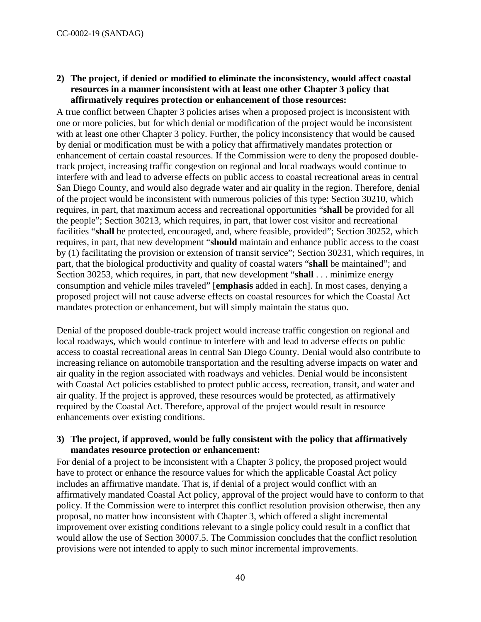## **2) The project, if denied or modified to eliminate the inconsistency, would affect coastal resources in a manner inconsistent with at least one other Chapter 3 policy that affirmatively requires protection or enhancement of those resources:**

A true conflict between Chapter 3 policies arises when a proposed project is inconsistent with one or more policies, but for which denial or modification of the project would be inconsistent with at least one other Chapter 3 policy. Further, the policy inconsistency that would be caused by denial or modification must be with a policy that affirmatively mandates protection or enhancement of certain coastal resources. If the Commission were to deny the proposed doubletrack project, increasing traffic congestion on regional and local roadways would continue to interfere with and lead to adverse effects on public access to coastal recreational areas in central San Diego County, and would also degrade water and air quality in the region. Therefore, denial of the project would be inconsistent with numerous policies of this type: Section 30210, which requires, in part, that maximum access and recreational opportunities "**shall** be provided for all the people"; Section 30213, which requires, in part, that lower cost visitor and recreational facilities "**shall** be protected, encouraged, and, where feasible, provided"; Section 30252, which requires, in part, that new development "**should** maintain and enhance public access to the coast by (1) facilitating the provision or extension of transit service"; Section 30231, which requires, in part, that the biological productivity and quality of coastal waters "**shall** be maintained"; and Section 30253, which requires, in part, that new development "**shall** . . . minimize energy consumption and vehicle miles traveled" [**emphasis** added in each]. In most cases, denying a proposed project will not cause adverse effects on coastal resources for which the Coastal Act mandates protection or enhancement, but will simply maintain the status quo.

Denial of the proposed double-track project would increase traffic congestion on regional and local roadways, which would continue to interfere with and lead to adverse effects on public access to coastal recreational areas in central San Diego County. Denial would also contribute to increasing reliance on automobile transportation and the resulting adverse impacts on water and air quality in the region associated with roadways and vehicles. Denial would be inconsistent with Coastal Act policies established to protect public access, recreation, transit, and water and air quality. If the project is approved, these resources would be protected, as affirmatively required by the Coastal Act. Therefore, approval of the project would result in resource enhancements over existing conditions.

#### **3) The project, if approved, would be fully consistent with the policy that affirmatively mandates resource protection or enhancement:**

For denial of a project to be inconsistent with a Chapter 3 policy, the proposed project would have to protect or enhance the resource values for which the applicable Coastal Act policy includes an affirmative mandate. That is, if denial of a project would conflict with an affirmatively mandated Coastal Act policy, approval of the project would have to conform to that policy. If the Commission were to interpret this conflict resolution provision otherwise, then any proposal, no matter how inconsistent with Chapter 3, which offered a slight incremental improvement over existing conditions relevant to a single policy could result in a conflict that would allow the use of Section 30007.5. The Commission concludes that the conflict resolution provisions were not intended to apply to such minor incremental improvements.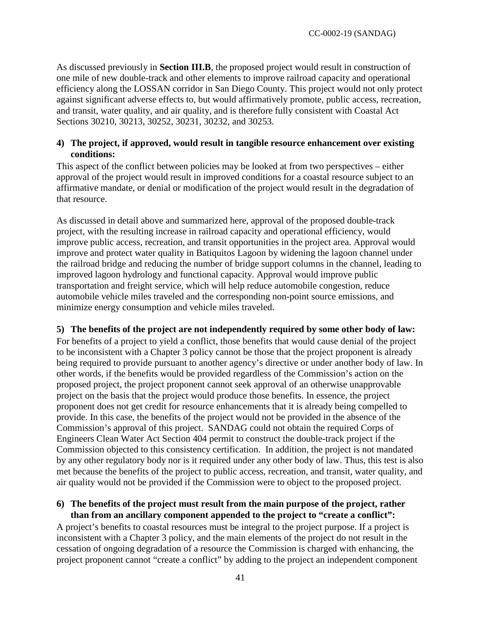As discussed previously in **Section III.B**, the proposed project would result in construction of one mile of new double-track and other elements to improve railroad capacity and operational efficiency along the LOSSAN corridor in San Diego County. This project would not only protect against significant adverse effects to, but would affirmatively promote, public access, recreation, and transit, water quality, and air quality, and is therefore fully consistent with Coastal Act Sections 30210, 30213, 30252, 30231, 30232, and 30253.

## **4) The project, if approved, would result in tangible resource enhancement over existing conditions:**

This aspect of the conflict between policies may be looked at from two perspectives – either approval of the project would result in improved conditions for a coastal resource subject to an affirmative mandate, or denial or modification of the project would result in the degradation of that resource.

As discussed in detail above and summarized here, approval of the proposed double-track project, with the resulting increase in railroad capacity and operational efficiency, would improve public access, recreation, and transit opportunities in the project area. Approval would improve and protect water quality in Batiquitos Lagoon by widening the lagoon channel under the railroad bridge and reducing the number of bridge support columns in the channel, leading to improved lagoon hydrology and functional capacity. Approval would improve public transportation and freight service, which will help reduce automobile congestion, reduce automobile vehicle miles traveled and the corresponding non-point source emissions, and minimize energy consumption and vehicle miles traveled.

# **5) The benefits of the project are not independently required by some other body of law:**

For benefits of a project to yield a conflict, those benefits that would cause denial of the project to be inconsistent with a Chapter 3 policy cannot be those that the project proponent is already being required to provide pursuant to another agency's directive or under another body of law. In other words, if the benefits would be provided regardless of the Commission's action on the proposed project, the project proponent cannot seek approval of an otherwise unapprovable project on the basis that the project would produce those benefits. In essence, the project proponent does not get credit for resource enhancements that it is already being compelled to provide. In this case, the benefits of the project would not be provided in the absence of the Commission's approval of this project. SANDAG could not obtain the required Corps of Engineers Clean Water Act Section 404 permit to construct the double-track project if the Commission objected to this consistency certification. In addition, the project is not mandated by any other regulatory body nor is it required under any other body of law. Thus, this test is also met because the benefits of the project to public access, recreation, and transit, water quality, and air quality would not be provided if the Commission were to object to the proposed project.

#### **6) The benefits of the project must result from the main purpose of the project, rather than from an ancillary component appended to the project to "create a conflict":**

A project's benefits to coastal resources must be integral to the project purpose. If a project is inconsistent with a Chapter 3 policy, and the main elements of the project do not result in the cessation of ongoing degradation of a resource the Commission is charged with enhancing, the project proponent cannot "create a conflict" by adding to the project an independent component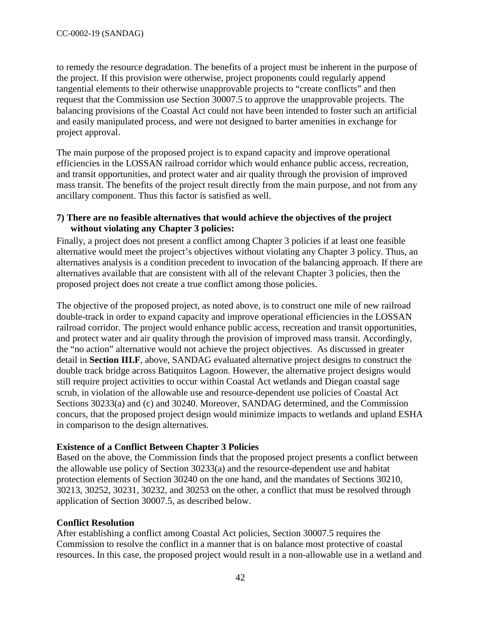to remedy the resource degradation. The benefits of a project must be inherent in the purpose of the project. If this provision were otherwise, project proponents could regularly append tangential elements to their otherwise unapprovable projects to "create conflicts" and then request that the Commission use Section 30007.5 to approve the unapprovable projects. The balancing provisions of the Coastal Act could not have been intended to foster such an artificial and easily manipulated process, and were not designed to barter amenities in exchange for project approval.

The main purpose of the proposed project is to expand capacity and improve operational efficiencies in the LOSSAN railroad corridor which would enhance public access, recreation, and transit opportunities, and protect water and air quality through the provision of improved mass transit. The benefits of the project result directly from the main purpose, and not from any ancillary component. Thus this factor is satisfied as well.

### **7) There are no feasible alternatives that would achieve the objectives of the project without violating any Chapter 3 policies:**

Finally, a project does not present a conflict among Chapter 3 policies if at least one feasible alternative would meet the project's objectives without violating any Chapter 3 policy. Thus, an alternatives analysis is a condition precedent to invocation of the balancing approach. If there are alternatives available that are consistent with all of the relevant Chapter 3 policies, then the proposed project does not create a true conflict among those policies.

The objective of the proposed project, as noted above, is to construct one mile of new railroad double-track in order to expand capacity and improve operational efficiencies in the LOSSAN railroad corridor. The project would enhance public access, recreation and transit opportunities, and protect water and air quality through the provision of improved mass transit. Accordingly, the "no action" alternative would not achieve the project objectives. As discussed in greater detail in **Section III.F**, above, SANDAG evaluated alternative project designs to construct the double track bridge across Batiquitos Lagoon. However, the alternative project designs would still require project activities to occur within Coastal Act wetlands and Diegan coastal sage scrub, in violation of the allowable use and resource-dependent use policies of Coastal Act Sections 30233(a) and (c) and 30240. Moreover, SANDAG determined, and the Commission concurs, that the proposed project design would minimize impacts to wetlands and upland ESHA in comparison to the design alternatives.

# **Existence of a Conflict Between Chapter 3 Policies**

Based on the above, the Commission finds that the proposed project presents a conflict between the allowable use policy of Section 30233(a) and the resource-dependent use and habitat protection elements of Section 30240 on the one hand, and the mandates of Sections 30210, 30213, 30252, 30231, 30232, and 30253 on the other, a conflict that must be resolved through application of Section 30007.5, as described below.

# **Conflict Resolution**

After establishing a conflict among Coastal Act policies, Section 30007.5 requires the Commission to resolve the conflict in a manner that is on balance most protective of coastal resources. In this case, the proposed project would result in a non-allowable use in a wetland and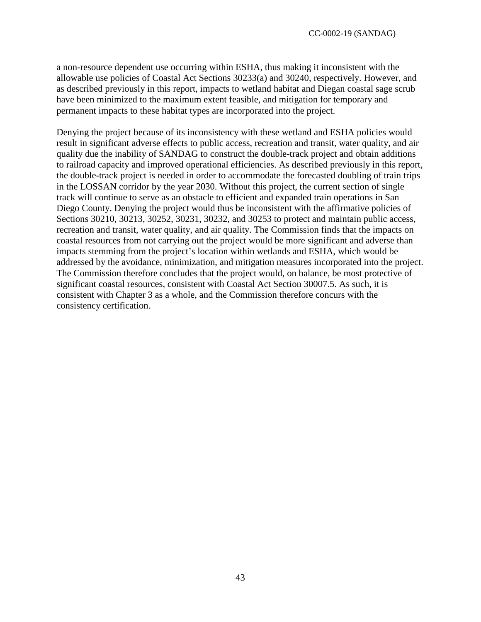a non-resource dependent use occurring within ESHA, thus making it inconsistent with the allowable use policies of Coastal Act Sections 30233(a) and 30240, respectively. However, and as described previously in this report, impacts to wetland habitat and Diegan coastal sage scrub have been minimized to the maximum extent feasible, and mitigation for temporary and permanent impacts to these habitat types are incorporated into the project.

Denying the project because of its inconsistency with these wetland and ESHA policies would result in significant adverse effects to public access, recreation and transit, water quality, and air quality due the inability of SANDAG to construct the double-track project and obtain additions to railroad capacity and improved operational efficiencies. As described previously in this report, the double-track project is needed in order to accommodate the forecasted doubling of train trips in the LOSSAN corridor by the year 2030. Without this project, the current section of single track will continue to serve as an obstacle to efficient and expanded train operations in San Diego County. Denying the project would thus be inconsistent with the affirmative policies of Sections 30210, 30213, 30252, 30231, 30232, and 30253 to protect and maintain public access, recreation and transit, water quality, and air quality. The Commission finds that the impacts on coastal resources from not carrying out the project would be more significant and adverse than impacts stemming from the project's location within wetlands and ESHA, which would be addressed by the avoidance, minimization, and mitigation measures incorporated into the project. The Commission therefore concludes that the project would, on balance, be most protective of significant coastal resources, consistent with Coastal Act Section 30007.5. As such, it is consistent with Chapter 3 as a whole, and the Commission therefore concurs with the consistency certification.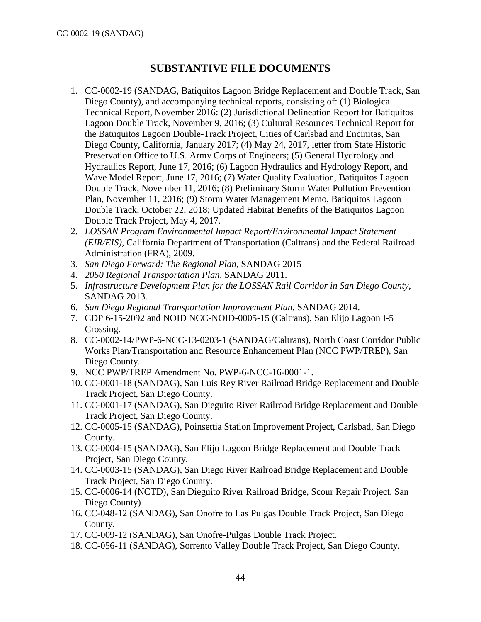# **SUBSTANTIVE FILE DOCUMENTS**

- <span id="page-43-0"></span>1. CC-0002-19 (SANDAG, Batiquitos Lagoon Bridge Replacement and Double Track, San Diego County), and accompanying technical reports, consisting of: (1) Biological Technical Report, November 2016: (2) Jurisdictional Delineation Report for Batiquitos Lagoon Double Track, November 9, 2016; (3) Cultural Resources Technical Report for the Batuquitos Lagoon Double-Track Project, Cities of Carlsbad and Encinitas, San Diego County, California, January 2017; (4) May 24, 2017, letter from State Historic Preservation Office to U.S. Army Corps of Engineers; (5) General Hydrology and Hydraulics Report, June 17, 2016; (6) Lagoon Hydraulics and Hydrology Report, and Wave Model Report, June 17, 2016; (7) Water Quality Evaluation, Batiquitos Lagoon Double Track, November 11, 2016; (8) Preliminary Storm Water Pollution Prevention Plan, November 11, 2016; (9) Storm Water Management Memo, Batiquitos Lagoon Double Track, October 22, 2018; Updated Habitat Benefits of the Batiquitos Lagoon Double Track Project, May 4, 2017.
- 2. *LOSSAN Program Environmental Impact Report/Environmental Impact Statement (EIR/EIS),* California Department of Transportation (Caltrans) and the Federal Railroad Administration (FRA), 2009.
- 3. *San Diego Forward: The Regional Plan*, SANDAG 2015
- 4. *2050 Regional Transportation Plan*, SANDAG 2011.
- 5. *Infrastructure Development Plan for the LOSSAN Rail Corridor in San Diego County*, SANDAG 2013.
- 6. *San Diego Regional Transportation Improvement Plan*, SANDAG 2014.
- 7. CDP 6-15-2092 and NOID NCC-NOID-0005-15 (Caltrans), San Elijo Lagoon I-5 Crossing.
- 8. CC-0002-14/PWP-6-NCC-13-0203-1 (SANDAG/Caltrans), North Coast Corridor Public Works Plan/Transportation and Resource Enhancement Plan (NCC PWP/TREP), San Diego County.
- 9. NCC PWP/TREP Amendment No. PWP-6-NCC-16-0001-1.
- 10. CC-0001-18 (SANDAG), San Luis Rey River Railroad Bridge Replacement and Double Track Project, San Diego County.
- 11. CC-0001-17 (SANDAG), San Dieguito River Railroad Bridge Replacement and Double Track Project, San Diego County.
- 12. CC-0005-15 (SANDAG), Poinsettia Station Improvement Project, Carlsbad, San Diego County.
- 13. CC-0004-15 (SANDAG), San Elijo Lagoon Bridge Replacement and Double Track Project, San Diego County.
- 14. CC-0003-15 (SANDAG), San Diego River Railroad Bridge Replacement and Double Track Project, San Diego County.
- 15. CC-0006-14 (NCTD), San Dieguito River Railroad Bridge, Scour Repair Project, San Diego County)
- 16. CC-048-12 (SANDAG), San Onofre to Las Pulgas Double Track Project, San Diego County.
- 17. CC-009-12 (SANDAG), San Onofre-Pulgas Double Track Project.
- 18. CC-056-11 (SANDAG), Sorrento Valley Double Track Project, San Diego County.